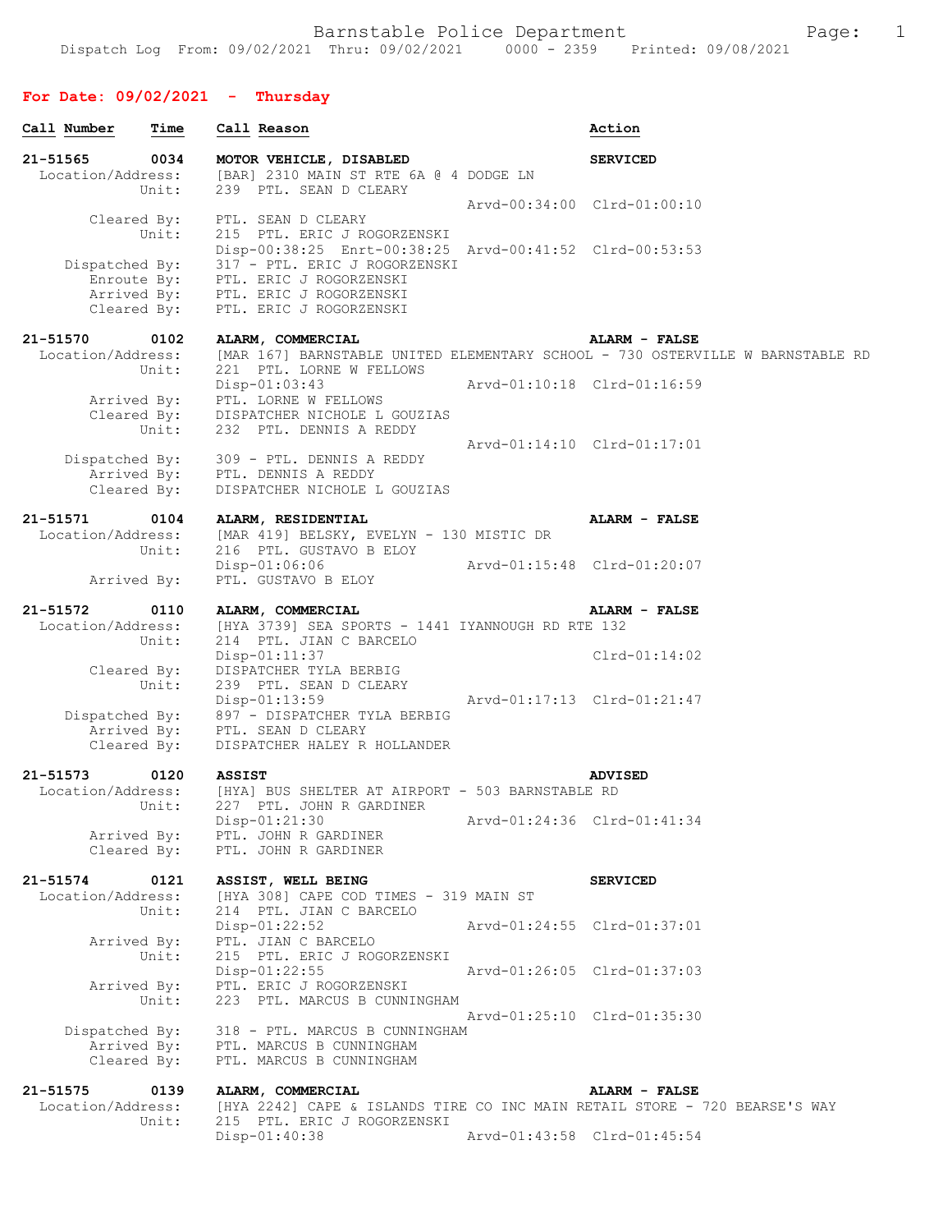## **For Date: 09/02/2021 - Thursday**

| Call Number                   | Time                       | Call Reason                                                                                                                                                                                                                  |                             | Action                                                                         |
|-------------------------------|----------------------------|------------------------------------------------------------------------------------------------------------------------------------------------------------------------------------------------------------------------------|-----------------------------|--------------------------------------------------------------------------------|
| 21-51565<br>Location/Address: | 0034<br>Unit:              | MOTOR VEHICLE, DISABLED<br>[BAR] 2310 MAIN ST RTE 6A @ 4 DODGE LN<br>239 PTL. SEAN D CLEARY                                                                                                                                  |                             | <b>SERVICED</b>                                                                |
|                               | Cleared By:<br>Unit:       | PTL. SEAN D CLEARY<br>215 PTL. ERIC J ROGORZENSKI                                                                                                                                                                            |                             | Arvd-00:34:00 Clrd-01:00:10                                                    |
|                               |                            | Disp-00:38:25 Enrt-00:38:25 Arvd-00:41:52 Clrd-00:53:53<br>Dispatched By: 317 - PTL. ERIC J ROGORZENSKI<br>Enroute By: PTL. ERIC J ROGORZENSKI<br>Arrived By: PTL. ERIC J ROGORZENSKI<br>Cleared By: PTL. ERIC J ROGORZENSKI |                             |                                                                                |
| 21-51570                      | 0102                       | ALARM, COMMERCIAL                                                                                                                                                                                                            |                             | ALARM - FALSE                                                                  |
| Location/Address:             | Unit:                      | 221 PTL. LORNE W FELLOWS                                                                                                                                                                                                     | Arvd-01:10:18 Clrd-01:16:59 | [MAR 167] BARNSTABLE UNITED ELEMENTARY SCHOOL - 730 OSTERVILLE W BARNSTABLE RD |
|                               | Unit:                      | $Disp-01:03:43$<br>Arrived By: PTL. LORNE W FELLOWS<br>Cleared By: DISPATCHER NICHOLE L GOUZIAS<br>232 PTL. DENNIS A REDDY                                                                                                   |                             |                                                                                |
|                               |                            | Dispatched By: 309 - PTL. DENNIS A REDDY<br>Arrived By: PTL. DENNIS A REDDY<br>Cleared By: DISPATCHER NICHOLE L GOUZIAS                                                                                                      |                             | Arvd-01:14:10 Clrd-01:17:01                                                    |
| 21-51571<br>Location/Address: | 0104<br>Unit:              | ALARM, RESIDENTIAL<br>[MAR 419] BELSKY, EVELYN - 130 MISTIC DR<br>216 PTL. GUSTAVO B ELOY                                                                                                                                    |                             | ALARM - FALSE                                                                  |
|                               | Arrived By:                | $Disp-01:06:06$<br>PTL. GUSTAVO B ELOY                                                                                                                                                                                       | Arvd-01:15:48 Clrd-01:20:07 |                                                                                |
| 21-51572                      | 0110<br>Unit:              | ALARM, COMMERCIAL<br>Location/Address: [HYA 3739] SEA SPORTS - 1441 IYANNOUGH RD RTE 132<br>214 PTL. JIAN C BARCELO                                                                                                          |                             | ALARM - FALSE                                                                  |
|                               | Cleared By:<br>Unit:       | Disp-01:11:37<br>DISPATCHER TYLA BERBIG<br>239 PTL. SEAN D CLEARY                                                                                                                                                            |                             | $Clrd-01:14:02$                                                                |
|                               |                            | $Disp-01:13:59$<br>Dispatched By: 897 - DISPATCHER TYLA BERBIG<br>Arrived By: PTL. SEAN D CLEARY<br>Cleared By: DISPATCHER HALEY R HOLLANDER                                                                                 | Arvd-01:17:13 Clrd-01:21:47 |                                                                                |
| 21-51573<br>Location/Address: | 0120<br>Unit:              | <b>ASSIST</b><br>[HYA] BUS SHELTER AT AIRPORT - 503 BARNSTABLE RD<br>227 PTL. JOHN R GARDINER                                                                                                                                |                             | <b>ADVISED</b>                                                                 |
|                               | Arrived By:<br>Cleared By: | Disp-01:21:30<br>PTL. JOHN R GARDINER<br>PTL. JOHN R GARDINER                                                                                                                                                                | Arvd-01:24:36 Clrd-01:41:34 |                                                                                |
| 21-51574                      | 0121                       | ASSIST, WELL BEING                                                                                                                                                                                                           |                             | <b>SERVICED</b>                                                                |
| Location/Address:             | Unit:                      | [HYA 308] CAPE COD TIMES - 319 MAIN ST<br>214 PTL. JIAN C BARCELO                                                                                                                                                            |                             |                                                                                |
|                               | Arrived By:<br>Unit:       | Disp-01:22:52<br>PTL. JIAN C BARCELO<br>215 PTL. ERIC J ROGORZENSKI                                                                                                                                                          |                             | Arvd-01:24:55 Clrd-01:37:01                                                    |
|                               | Arrived By:<br>Unit:       | $Disp-01:22:55$<br>PTL. ERIC J ROGORZENSKI<br>223 PTL. MARCUS B CUNNINGHAM                                                                                                                                                   |                             | Arvd-01:26:05 Clrd-01:37:03                                                    |
|                               | Arrived By:<br>Cleared By: | Dispatched By: 318 - PTL. MARCUS B CUNNINGHAM<br>PTL. MARCUS B CUNNINGHAM<br>PTL. MARCUS B CUNNINGHAM                                                                                                                        |                             | Arvd-01:25:10 Clrd-01:35:30                                                    |
| 21-51575                      | 0139                       | ALARM, COMMERCIAL                                                                                                                                                                                                            |                             | ALARM - FALSE                                                                  |
| Location/Address:             | Unit:                      | 215 PTL. ERIC J ROGORZENSKI                                                                                                                                                                                                  |                             | [HYA 2242] CAPE & ISLANDS TIRE CO INC MAIN RETAIL STORE - 720 BEARSE'S WAY     |
|                               |                            | Disp-01:40:38                                                                                                                                                                                                                |                             | Arvd-01:43:58 Clrd-01:45:54                                                    |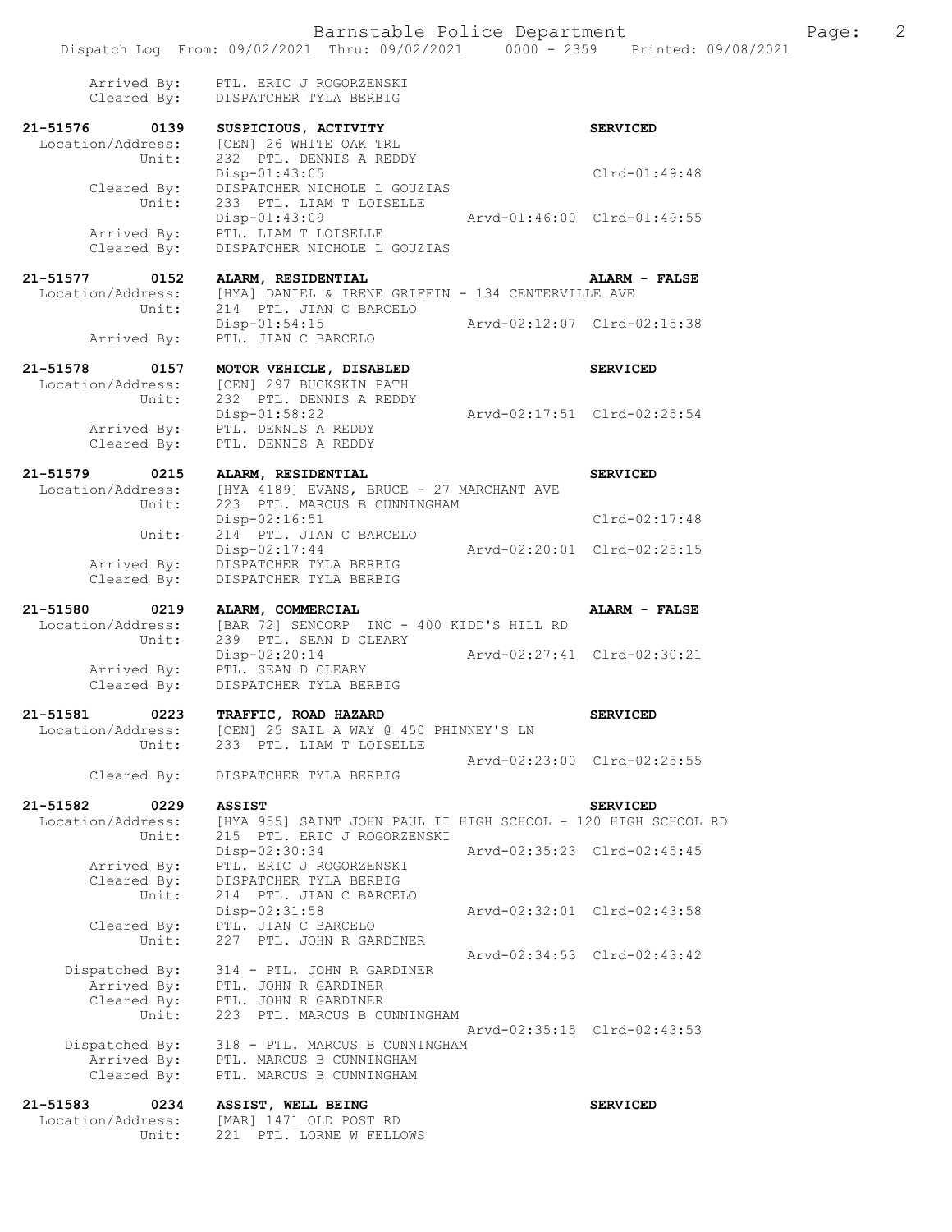|                                       | Dispatch Log From: 09/02/2021 Thru: 09/02/2021 0000 - 2359 Printed: 09/08/2021 |                             |                             |  |
|---------------------------------------|--------------------------------------------------------------------------------|-----------------------------|-----------------------------|--|
|                                       |                                                                                |                             |                             |  |
| Arrived By:<br>Cleared By:            | PTL. ERIC J ROGORZENSKI<br>DISPATCHER TYLA BERBIG                              |                             |                             |  |
| 21-51576 0139                         | SUSPICIOUS, ACTIVITY                                                           |                             | <b>SERVICED</b>             |  |
| Location/Address:                     | [CEN] 26 WHITE OAK TRL                                                         |                             |                             |  |
| Unit:                                 | 232 PTL. DENNIS A REDDY                                                        |                             |                             |  |
| Cleared By:                           | $Disp-01:43:05$<br>DISPATCHER NICHOLE L GOUZIAS                                |                             | Clrd-01:49:48               |  |
| Unit:                                 | 233 PTL. LIAM T LOISELLE                                                       |                             |                             |  |
|                                       | Disp-01:43:09<br>Arrived By: PTL. LIAM T LOISELLE                              | Arvd-01:46:00 Clrd-01:49:55 |                             |  |
| Cleared By:                           | DISPATCHER NICHOLE L GOUZIAS                                                   |                             |                             |  |
|                                       |                                                                                |                             |                             |  |
| 21-51577 0152<br>Location/Address:    | ALARM, RESIDENTIAL                                                             |                             | <b>ALARM - FALSE</b>        |  |
| Unit:                                 | [HYA] DANIEL & IRENE GRIFFIN - 134 CENTERVILLE AVE<br>214 PTL. JIAN C BARCELO  |                             |                             |  |
|                                       | Disp-01:54:15                                                                  | Arvd-02:12:07 Clrd-02:15:38 |                             |  |
| Arrived By:                           | PTL. JIAN C BARCELO                                                            |                             |                             |  |
| 21-51578 0157                         | MOTOR VEHICLE, DISABLED                                                        |                             | <b>SERVICED</b>             |  |
|                                       | Location/Address: [CEN] 297 BUCKSKIN PATH                                      |                             |                             |  |
| Unit:                                 | 232 PTL. DENNIS A REDDY<br>Disp-01:58:22                                       |                             |                             |  |
|                                       | Arrived By: PTL. DENNIS A REDDY                                                |                             |                             |  |
| Cleared By:                           | PTL. DENNIS A REDDY                                                            |                             |                             |  |
| 21-51579 0215                         | ALARM, RESIDENTIAL                                                             |                             | <b>SERVICED</b>             |  |
| Location/Address:                     | [HYA 4189] EVANS, BRUCE - 27 MARCHANT AVE                                      |                             |                             |  |
| Unit:                                 | 223 PTL. MARCUS B CUNNINGHAM<br>Disp-02:16:51                                  |                             | $Clrd-02:17:48$             |  |
| Unit:                                 | 214 PTL. JIAN C BARCELO                                                        |                             |                             |  |
|                                       | $Disp-02:17:44$                                                                | Arvd-02:20:01 Clrd-02:25:15 |                             |  |
| Arrived By:<br>Cleared By:            | DISPATCHER TYLA BERBIG<br>DISPATCHER TYLA BERBIG                               |                             |                             |  |
|                                       |                                                                                |                             |                             |  |
|                                       |                                                                                |                             |                             |  |
| 21-51580<br>0219                      | ALARM, COMMERCIAL                                                              |                             | ALARM - FALSE               |  |
|                                       | Location/Address: [BAR 72] SENCORP INC - 400 KIDD'S HILL RD                    |                             |                             |  |
| Unit:                                 | 239 PTL. SEAN D CLEARY<br>Disp-02:20:14                                        | Arvd-02:27:41 Clrd-02:30:21 |                             |  |
|                                       | Arrived By: PTL. SEAN D CLEARY                                                 |                             |                             |  |
| Cleared By:                           | DISPATCHER TYLA BERBIG                                                         |                             |                             |  |
| 21-51581<br>0223                      | <b>TRAFFIC, ROAD HAZARD</b>                                                    |                             | <b>SERVICED</b>             |  |
| Location/Address:                     | [CEN] 25 SAIL A WAY @ 450 PHINNEY'S LN                                         |                             |                             |  |
| Unit:                                 | 233 PTL. LIAM T LOISELLE                                                       |                             | Arvd-02:23:00 Clrd-02:25:55 |  |
| Cleared By:                           | DISPATCHER TYLA BERBIG                                                         |                             |                             |  |
|                                       |                                                                                |                             |                             |  |
| 21-51582<br>0229<br>Location/Address: | <b>ASSIST</b><br>[HYA 955] SAINT JOHN PAUL II HIGH SCHOOL - 120 HIGH SCHOOL RD |                             | <b>SERVICED</b>             |  |
| Unit:                                 | 215 PTL. ERIC J ROGORZENSKI                                                    |                             |                             |  |
|                                       | Disp-02:30:34                                                                  |                             | Arvd-02:35:23 Clrd-02:45:45 |  |
| Arrived By:<br>Cleared By:            | PTL. ERIC J ROGORZENSKI<br>DISPATCHER TYLA BERBIG                              |                             |                             |  |
| Unit:                                 | 214 PTL. JIAN C BARCELO                                                        |                             |                             |  |
|                                       | Disp-02:31:58<br>PTL. JIAN C BARCELO                                           |                             | Arvd-02:32:01 Clrd-02:43:58 |  |
| Cleared By:<br>Unit:                  | 227 PTL. JOHN R GARDINER                                                       |                             |                             |  |
|                                       |                                                                                |                             | Arvd-02:34:53 Clrd-02:43:42 |  |
| Dispatched By:<br>Arrived By:         | 314 - PTL. JOHN R GARDINER<br>PTL. JOHN R GARDINER                             |                             |                             |  |
| Cleared By:                           | PTL. JOHN R GARDINER                                                           |                             |                             |  |
| Unit:                                 | 223 PTL. MARCUS B CUNNINGHAM                                                   |                             | Arvd-02:35:15 Clrd-02:43:53 |  |
| Dispatched By:                        | 318 - PTL. MARCUS B CUNNINGHAM                                                 |                             |                             |  |
| Arrived By:                           | PTL. MARCUS B CUNNINGHAM                                                       |                             |                             |  |
| Cleared By:                           | PTL. MARCUS B CUNNINGHAM                                                       |                             |                             |  |
| 21-51583<br>0234                      | ASSIST, WELL BEING                                                             |                             | <b>SERVICED</b>             |  |
| Location/Address:<br>Unit:            | [MAR] 1471 OLD POST RD<br>221 PTL. LORNE W FELLOWS                             |                             |                             |  |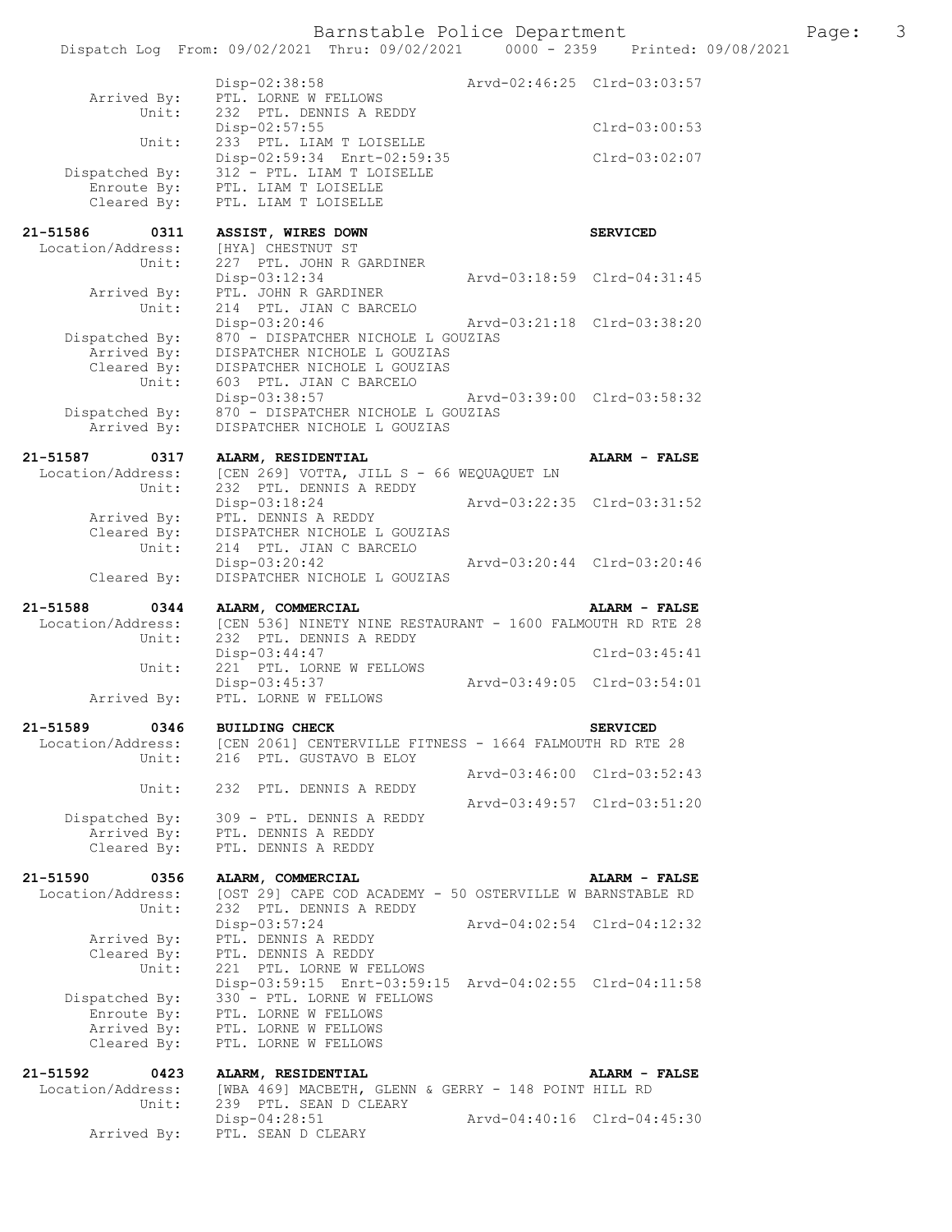## Barnstable Police Department Fage: 3

| Unit:<br>232 PTL. DENNIS A REDDY         |                                                                                                                                                                                                                                                                                                                                                                                                                                                                                                                                                                                                                                                                                                                                                                                                                                                                                                                                       |                                                                                                                                                                                                                                                                                                                                                                                                                                                                                                                                                                                                                                                                                                                                                                                                                                                                                                                                                                                                                                                                                                                                                                                                                                             |
|------------------------------------------|---------------------------------------------------------------------------------------------------------------------------------------------------------------------------------------------------------------------------------------------------------------------------------------------------------------------------------------------------------------------------------------------------------------------------------------------------------------------------------------------------------------------------------------------------------------------------------------------------------------------------------------------------------------------------------------------------------------------------------------------------------------------------------------------------------------------------------------------------------------------------------------------------------------------------------------|---------------------------------------------------------------------------------------------------------------------------------------------------------------------------------------------------------------------------------------------------------------------------------------------------------------------------------------------------------------------------------------------------------------------------------------------------------------------------------------------------------------------------------------------------------------------------------------------------------------------------------------------------------------------------------------------------------------------------------------------------------------------------------------------------------------------------------------------------------------------------------------------------------------------------------------------------------------------------------------------------------------------------------------------------------------------------------------------------------------------------------------------------------------------------------------------------------------------------------------------|
| Disp-02:57:55                            |                                                                                                                                                                                                                                                                                                                                                                                                                                                                                                                                                                                                                                                                                                                                                                                                                                                                                                                                       | Clrd-03:00:53                                                                                                                                                                                                                                                                                                                                                                                                                                                                                                                                                                                                                                                                                                                                                                                                                                                                                                                                                                                                                                                                                                                                                                                                                               |
|                                          |                                                                                                                                                                                                                                                                                                                                                                                                                                                                                                                                                                                                                                                                                                                                                                                                                                                                                                                                       |                                                                                                                                                                                                                                                                                                                                                                                                                                                                                                                                                                                                                                                                                                                                                                                                                                                                                                                                                                                                                                                                                                                                                                                                                                             |
|                                          |                                                                                                                                                                                                                                                                                                                                                                                                                                                                                                                                                                                                                                                                                                                                                                                                                                                                                                                                       | Clrd-03:02:07                                                                                                                                                                                                                                                                                                                                                                                                                                                                                                                                                                                                                                                                                                                                                                                                                                                                                                                                                                                                                                                                                                                                                                                                                               |
|                                          |                                                                                                                                                                                                                                                                                                                                                                                                                                                                                                                                                                                                                                                                                                                                                                                                                                                                                                                                       |                                                                                                                                                                                                                                                                                                                                                                                                                                                                                                                                                                                                                                                                                                                                                                                                                                                                                                                                                                                                                                                                                                                                                                                                                                             |
|                                          |                                                                                                                                                                                                                                                                                                                                                                                                                                                                                                                                                                                                                                                                                                                                                                                                                                                                                                                                       |                                                                                                                                                                                                                                                                                                                                                                                                                                                                                                                                                                                                                                                                                                                                                                                                                                                                                                                                                                                                                                                                                                                                                                                                                                             |
|                                          |                                                                                                                                                                                                                                                                                                                                                                                                                                                                                                                                                                                                                                                                                                                                                                                                                                                                                                                                       |                                                                                                                                                                                                                                                                                                                                                                                                                                                                                                                                                                                                                                                                                                                                                                                                                                                                                                                                                                                                                                                                                                                                                                                                                                             |
|                                          |                                                                                                                                                                                                                                                                                                                                                                                                                                                                                                                                                                                                                                                                                                                                                                                                                                                                                                                                       | <b>SERVICED</b>                                                                                                                                                                                                                                                                                                                                                                                                                                                                                                                                                                                                                                                                                                                                                                                                                                                                                                                                                                                                                                                                                                                                                                                                                             |
| Location/Address: [HYA] CHESTNUT ST      |                                                                                                                                                                                                                                                                                                                                                                                                                                                                                                                                                                                                                                                                                                                                                                                                                                                                                                                                       |                                                                                                                                                                                                                                                                                                                                                                                                                                                                                                                                                                                                                                                                                                                                                                                                                                                                                                                                                                                                                                                                                                                                                                                                                                             |
| 227 PTL. JOHN R GARDINER                 |                                                                                                                                                                                                                                                                                                                                                                                                                                                                                                                                                                                                                                                                                                                                                                                                                                                                                                                                       |                                                                                                                                                                                                                                                                                                                                                                                                                                                                                                                                                                                                                                                                                                                                                                                                                                                                                                                                                                                                                                                                                                                                                                                                                                             |
|                                          |                                                                                                                                                                                                                                                                                                                                                                                                                                                                                                                                                                                                                                                                                                                                                                                                                                                                                                                                       |                                                                                                                                                                                                                                                                                                                                                                                                                                                                                                                                                                                                                                                                                                                                                                                                                                                                                                                                                                                                                                                                                                                                                                                                                                             |
|                                          |                                                                                                                                                                                                                                                                                                                                                                                                                                                                                                                                                                                                                                                                                                                                                                                                                                                                                                                                       |                                                                                                                                                                                                                                                                                                                                                                                                                                                                                                                                                                                                                                                                                                                                                                                                                                                                                                                                                                                                                                                                                                                                                                                                                                             |
|                                          |                                                                                                                                                                                                                                                                                                                                                                                                                                                                                                                                                                                                                                                                                                                                                                                                                                                                                                                                       |                                                                                                                                                                                                                                                                                                                                                                                                                                                                                                                                                                                                                                                                                                                                                                                                                                                                                                                                                                                                                                                                                                                                                                                                                                             |
|                                          |                                                                                                                                                                                                                                                                                                                                                                                                                                                                                                                                                                                                                                                                                                                                                                                                                                                                                                                                       |                                                                                                                                                                                                                                                                                                                                                                                                                                                                                                                                                                                                                                                                                                                                                                                                                                                                                                                                                                                                                                                                                                                                                                                                                                             |
|                                          |                                                                                                                                                                                                                                                                                                                                                                                                                                                                                                                                                                                                                                                                                                                                                                                                                                                                                                                                       |                                                                                                                                                                                                                                                                                                                                                                                                                                                                                                                                                                                                                                                                                                                                                                                                                                                                                                                                                                                                                                                                                                                                                                                                                                             |
|                                          |                                                                                                                                                                                                                                                                                                                                                                                                                                                                                                                                                                                                                                                                                                                                                                                                                                                                                                                                       |                                                                                                                                                                                                                                                                                                                                                                                                                                                                                                                                                                                                                                                                                                                                                                                                                                                                                                                                                                                                                                                                                                                                                                                                                                             |
|                                          |                                                                                                                                                                                                                                                                                                                                                                                                                                                                                                                                                                                                                                                                                                                                                                                                                                                                                                                                       |                                                                                                                                                                                                                                                                                                                                                                                                                                                                                                                                                                                                                                                                                                                                                                                                                                                                                                                                                                                                                                                                                                                                                                                                                                             |
|                                          |                                                                                                                                                                                                                                                                                                                                                                                                                                                                                                                                                                                                                                                                                                                                                                                                                                                                                                                                       |                                                                                                                                                                                                                                                                                                                                                                                                                                                                                                                                                                                                                                                                                                                                                                                                                                                                                                                                                                                                                                                                                                                                                                                                                                             |
|                                          |                                                                                                                                                                                                                                                                                                                                                                                                                                                                                                                                                                                                                                                                                                                                                                                                                                                                                                                                       |                                                                                                                                                                                                                                                                                                                                                                                                                                                                                                                                                                                                                                                                                                                                                                                                                                                                                                                                                                                                                                                                                                                                                                                                                                             |
| Arrived By: DISPATCHER NICHOLE L GOUZIAS |                                                                                                                                                                                                                                                                                                                                                                                                                                                                                                                                                                                                                                                                                                                                                                                                                                                                                                                                       |                                                                                                                                                                                                                                                                                                                                                                                                                                                                                                                                                                                                                                                                                                                                                                                                                                                                                                                                                                                                                                                                                                                                                                                                                                             |
|                                          |                                                                                                                                                                                                                                                                                                                                                                                                                                                                                                                                                                                                                                                                                                                                                                                                                                                                                                                                       |                                                                                                                                                                                                                                                                                                                                                                                                                                                                                                                                                                                                                                                                                                                                                                                                                                                                                                                                                                                                                                                                                                                                                                                                                                             |
|                                          |                                                                                                                                                                                                                                                                                                                                                                                                                                                                                                                                                                                                                                                                                                                                                                                                                                                                                                                                       |                                                                                                                                                                                                                                                                                                                                                                                                                                                                                                                                                                                                                                                                                                                                                                                                                                                                                                                                                                                                                                                                                                                                                                                                                                             |
|                                          |                                                                                                                                                                                                                                                                                                                                                                                                                                                                                                                                                                                                                                                                                                                                                                                                                                                                                                                                       |                                                                                                                                                                                                                                                                                                                                                                                                                                                                                                                                                                                                                                                                                                                                                                                                                                                                                                                                                                                                                                                                                                                                                                                                                                             |
|                                          |                                                                                                                                                                                                                                                                                                                                                                                                                                                                                                                                                                                                                                                                                                                                                                                                                                                                                                                                       |                                                                                                                                                                                                                                                                                                                                                                                                                                                                                                                                                                                                                                                                                                                                                                                                                                                                                                                                                                                                                                                                                                                                                                                                                                             |
|                                          |                                                                                                                                                                                                                                                                                                                                                                                                                                                                                                                                                                                                                                                                                                                                                                                                                                                                                                                                       |                                                                                                                                                                                                                                                                                                                                                                                                                                                                                                                                                                                                                                                                                                                                                                                                                                                                                                                                                                                                                                                                                                                                                                                                                                             |
|                                          |                                                                                                                                                                                                                                                                                                                                                                                                                                                                                                                                                                                                                                                                                                                                                                                                                                                                                                                                       |                                                                                                                                                                                                                                                                                                                                                                                                                                                                                                                                                                                                                                                                                                                                                                                                                                                                                                                                                                                                                                                                                                                                                                                                                                             |
|                                          |                                                                                                                                                                                                                                                                                                                                                                                                                                                                                                                                                                                                                                                                                                                                                                                                                                                                                                                                       |                                                                                                                                                                                                                                                                                                                                                                                                                                                                                                                                                                                                                                                                                                                                                                                                                                                                                                                                                                                                                                                                                                                                                                                                                                             |
|                                          |                                                                                                                                                                                                                                                                                                                                                                                                                                                                                                                                                                                                                                                                                                                                                                                                                                                                                                                                       |                                                                                                                                                                                                                                                                                                                                                                                                                                                                                                                                                                                                                                                                                                                                                                                                                                                                                                                                                                                                                                                                                                                                                                                                                                             |
|                                          |                                                                                                                                                                                                                                                                                                                                                                                                                                                                                                                                                                                                                                                                                                                                                                                                                                                                                                                                       |                                                                                                                                                                                                                                                                                                                                                                                                                                                                                                                                                                                                                                                                                                                                                                                                                                                                                                                                                                                                                                                                                                                                                                                                                                             |
|                                          |                                                                                                                                                                                                                                                                                                                                                                                                                                                                                                                                                                                                                                                                                                                                                                                                                                                                                                                                       |                                                                                                                                                                                                                                                                                                                                                                                                                                                                                                                                                                                                                                                                                                                                                                                                                                                                                                                                                                                                                                                                                                                                                                                                                                             |
|                                          |                                                                                                                                                                                                                                                                                                                                                                                                                                                                                                                                                                                                                                                                                                                                                                                                                                                                                                                                       |                                                                                                                                                                                                                                                                                                                                                                                                                                                                                                                                                                                                                                                                                                                                                                                                                                                                                                                                                                                                                                                                                                                                                                                                                                             |
|                                          |                                                                                                                                                                                                                                                                                                                                                                                                                                                                                                                                                                                                                                                                                                                                                                                                                                                                                                                                       |                                                                                                                                                                                                                                                                                                                                                                                                                                                                                                                                                                                                                                                                                                                                                                                                                                                                                                                                                                                                                                                                                                                                                                                                                                             |
|                                          |                                                                                                                                                                                                                                                                                                                                                                                                                                                                                                                                                                                                                                                                                                                                                                                                                                                                                                                                       | $Clrd-03:45:41$                                                                                                                                                                                                                                                                                                                                                                                                                                                                                                                                                                                                                                                                                                                                                                                                                                                                                                                                                                                                                                                                                                                                                                                                                             |
| Unit:                                    |                                                                                                                                                                                                                                                                                                                                                                                                                                                                                                                                                                                                                                                                                                                                                                                                                                                                                                                                       |                                                                                                                                                                                                                                                                                                                                                                                                                                                                                                                                                                                                                                                                                                                                                                                                                                                                                                                                                                                                                                                                                                                                                                                                                                             |
|                                          |                                                                                                                                                                                                                                                                                                                                                                                                                                                                                                                                                                                                                                                                                                                                                                                                                                                                                                                                       |                                                                                                                                                                                                                                                                                                                                                                                                                                                                                                                                                                                                                                                                                                                                                                                                                                                                                                                                                                                                                                                                                                                                                                                                                                             |
| Arrived By: PTL. LORNE W FELLOWS         |                                                                                                                                                                                                                                                                                                                                                                                                                                                                                                                                                                                                                                                                                                                                                                                                                                                                                                                                       |                                                                                                                                                                                                                                                                                                                                                                                                                                                                                                                                                                                                                                                                                                                                                                                                                                                                                                                                                                                                                                                                                                                                                                                                                                             |
|                                          |                                                                                                                                                                                                                                                                                                                                                                                                                                                                                                                                                                                                                                                                                                                                                                                                                                                                                                                                       |                                                                                                                                                                                                                                                                                                                                                                                                                                                                                                                                                                                                                                                                                                                                                                                                                                                                                                                                                                                                                                                                                                                                                                                                                                             |
|                                          |                                                                                                                                                                                                                                                                                                                                                                                                                                                                                                                                                                                                                                                                                                                                                                                                                                                                                                                                       | <b>SERVICED</b>                                                                                                                                                                                                                                                                                                                                                                                                                                                                                                                                                                                                                                                                                                                                                                                                                                                                                                                                                                                                                                                                                                                                                                                                                             |
|                                          |                                                                                                                                                                                                                                                                                                                                                                                                                                                                                                                                                                                                                                                                                                                                                                                                                                                                                                                                       |                                                                                                                                                                                                                                                                                                                                                                                                                                                                                                                                                                                                                                                                                                                                                                                                                                                                                                                                                                                                                                                                                                                                                                                                                                             |
|                                          |                                                                                                                                                                                                                                                                                                                                                                                                                                                                                                                                                                                                                                                                                                                                                                                                                                                                                                                                       |                                                                                                                                                                                                                                                                                                                                                                                                                                                                                                                                                                                                                                                                                                                                                                                                                                                                                                                                                                                                                                                                                                                                                                                                                                             |
|                                          |                                                                                                                                                                                                                                                                                                                                                                                                                                                                                                                                                                                                                                                                                                                                                                                                                                                                                                                                       |                                                                                                                                                                                                                                                                                                                                                                                                                                                                                                                                                                                                                                                                                                                                                                                                                                                                                                                                                                                                                                                                                                                                                                                                                                             |
|                                          |                                                                                                                                                                                                                                                                                                                                                                                                                                                                                                                                                                                                                                                                                                                                                                                                                                                                                                                                       |                                                                                                                                                                                                                                                                                                                                                                                                                                                                                                                                                                                                                                                                                                                                                                                                                                                                                                                                                                                                                                                                                                                                                                                                                                             |
|                                          |                                                                                                                                                                                                                                                                                                                                                                                                                                                                                                                                                                                                                                                                                                                                                                                                                                                                                                                                       |                                                                                                                                                                                                                                                                                                                                                                                                                                                                                                                                                                                                                                                                                                                                                                                                                                                                                                                                                                                                                                                                                                                                                                                                                                             |
|                                          |                                                                                                                                                                                                                                                                                                                                                                                                                                                                                                                                                                                                                                                                                                                                                                                                                                                                                                                                       |                                                                                                                                                                                                                                                                                                                                                                                                                                                                                                                                                                                                                                                                                                                                                                                                                                                                                                                                                                                                                                                                                                                                                                                                                                             |
| PTL. DENNIS A REDDY                      |                                                                                                                                                                                                                                                                                                                                                                                                                                                                                                                                                                                                                                                                                                                                                                                                                                                                                                                                       |                                                                                                                                                                                                                                                                                                                                                                                                                                                                                                                                                                                                                                                                                                                                                                                                                                                                                                                                                                                                                                                                                                                                                                                                                                             |
|                                          |                                                                                                                                                                                                                                                                                                                                                                                                                                                                                                                                                                                                                                                                                                                                                                                                                                                                                                                                       |                                                                                                                                                                                                                                                                                                                                                                                                                                                                                                                                                                                                                                                                                                                                                                                                                                                                                                                                                                                                                                                                                                                                                                                                                                             |
|                                          |                                                                                                                                                                                                                                                                                                                                                                                                                                                                                                                                                                                                                                                                                                                                                                                                                                                                                                                                       | ALARM - FALSE                                                                                                                                                                                                                                                                                                                                                                                                                                                                                                                                                                                                                                                                                                                                                                                                                                                                                                                                                                                                                                                                                                                                                                                                                               |
|                                          |                                                                                                                                                                                                                                                                                                                                                                                                                                                                                                                                                                                                                                                                                                                                                                                                                                                                                                                                       |                                                                                                                                                                                                                                                                                                                                                                                                                                                                                                                                                                                                                                                                                                                                                                                                                                                                                                                                                                                                                                                                                                                                                                                                                                             |
|                                          |                                                                                                                                                                                                                                                                                                                                                                                                                                                                                                                                                                                                                                                                                                                                                                                                                                                                                                                                       |                                                                                                                                                                                                                                                                                                                                                                                                                                                                                                                                                                                                                                                                                                                                                                                                                                                                                                                                                                                                                                                                                                                                                                                                                                             |
|                                          |                                                                                                                                                                                                                                                                                                                                                                                                                                                                                                                                                                                                                                                                                                                                                                                                                                                                                                                                       |                                                                                                                                                                                                                                                                                                                                                                                                                                                                                                                                                                                                                                                                                                                                                                                                                                                                                                                                                                                                                                                                                                                                                                                                                                             |
|                                          |                                                                                                                                                                                                                                                                                                                                                                                                                                                                                                                                                                                                                                                                                                                                                                                                                                                                                                                                       |                                                                                                                                                                                                                                                                                                                                                                                                                                                                                                                                                                                                                                                                                                                                                                                                                                                                                                                                                                                                                                                                                                                                                                                                                                             |
| 221 PTL. LORNE W FELLOWS                 |                                                                                                                                                                                                                                                                                                                                                                                                                                                                                                                                                                                                                                                                                                                                                                                                                                                                                                                                       |                                                                                                                                                                                                                                                                                                                                                                                                                                                                                                                                                                                                                                                                                                                                                                                                                                                                                                                                                                                                                                                                                                                                                                                                                                             |
|                                          |                                                                                                                                                                                                                                                                                                                                                                                                                                                                                                                                                                                                                                                                                                                                                                                                                                                                                                                                       |                                                                                                                                                                                                                                                                                                                                                                                                                                                                                                                                                                                                                                                                                                                                                                                                                                                                                                                                                                                                                                                                                                                                                                                                                                             |
| 330 - PTL. LORNE W FELLOWS               |                                                                                                                                                                                                                                                                                                                                                                                                                                                                                                                                                                                                                                                                                                                                                                                                                                                                                                                                       |                                                                                                                                                                                                                                                                                                                                                                                                                                                                                                                                                                                                                                                                                                                                                                                                                                                                                                                                                                                                                                                                                                                                                                                                                                             |
| PTL. LORNE W FELLOWS                     |                                                                                                                                                                                                                                                                                                                                                                                                                                                                                                                                                                                                                                                                                                                                                                                                                                                                                                                                       |                                                                                                                                                                                                                                                                                                                                                                                                                                                                                                                                                                                                                                                                                                                                                                                                                                                                                                                                                                                                                                                                                                                                                                                                                                             |
| Arrived By: PTL. LORNE W FELLOWS         |                                                                                                                                                                                                                                                                                                                                                                                                                                                                                                                                                                                                                                                                                                                                                                                                                                                                                                                                       |                                                                                                                                                                                                                                                                                                                                                                                                                                                                                                                                                                                                                                                                                                                                                                                                                                                                                                                                                                                                                                                                                                                                                                                                                                             |
| PTL. LORNE W FELLOWS                     |                                                                                                                                                                                                                                                                                                                                                                                                                                                                                                                                                                                                                                                                                                                                                                                                                                                                                                                                       |                                                                                                                                                                                                                                                                                                                                                                                                                                                                                                                                                                                                                                                                                                                                                                                                                                                                                                                                                                                                                                                                                                                                                                                                                                             |
|                                          |                                                                                                                                                                                                                                                                                                                                                                                                                                                                                                                                                                                                                                                                                                                                                                                                                                                                                                                                       |                                                                                                                                                                                                                                                                                                                                                                                                                                                                                                                                                                                                                                                                                                                                                                                                                                                                                                                                                                                                                                                                                                                                                                                                                                             |
|                                          |                                                                                                                                                                                                                                                                                                                                                                                                                                                                                                                                                                                                                                                                                                                                                                                                                                                                                                                                       | ALARM - FALSE                                                                                                                                                                                                                                                                                                                                                                                                                                                                                                                                                                                                                                                                                                                                                                                                                                                                                                                                                                                                                                                                                                                                                                                                                               |
|                                          |                                                                                                                                                                                                                                                                                                                                                                                                                                                                                                                                                                                                                                                                                                                                                                                                                                                                                                                                       |                                                                                                                                                                                                                                                                                                                                                                                                                                                                                                                                                                                                                                                                                                                                                                                                                                                                                                                                                                                                                                                                                                                                                                                                                                             |
| Disp-04:28:51                            | Arvd-04:40:16 Clrd-04:45:30                                                                                                                                                                                                                                                                                                                                                                                                                                                                                                                                                                                                                                                                                                                                                                                                                                                                                                           |                                                                                                                                                                                                                                                                                                                                                                                                                                                                                                                                                                                                                                                                                                                                                                                                                                                                                                                                                                                                                                                                                                                                                                                                                                             |
|                                          | Disp-02:38:58<br>PTL. LORNE W FELLOWS<br>Unit:<br>Dispatched By: 312 - PTL. LIAM T LOISELLE<br>Enroute By: PTL. LIAM T LOISELLE<br>Cleared By: PTL. LIAM T LOISELLE<br>21-51586 0311 ASSIST, WIRES DOWN<br>Unit:<br>Unit:<br>214 PTL. JIAN C BARCELO<br>Arrived By: DISPATCHER NICHOLE L GOUZIAS<br>Cleared By: DISPATCHER NICHOLE L GOUZIAS<br>Unit: 603 PTL. JIAN C BARCELO<br>0317 ALARM, RESIDENTIAL<br>Unit:<br>232 PTL. DENNIS A REDDY<br>Cleared By: DISPATCHER NICHOLE L GOUZIAS<br>Unit: 214 PTL. JIAN C BARCELO<br>0344<br>ALARM, COMMERCIAL<br>Location/Address:<br>232 PTL. DENNIS A REDDY<br>Disp-03:44:47<br><b>BUILDING CHECK</b><br>216 PTL. GUSTAVO B ELOY<br>232 PTL. DENNIS A REDDY<br>309 - PTL. DENNIS A REDDY<br>PTL. DENNIS A REDDY<br>ALARM, COMMERCIAL<br>232 PTL. DENNIS A REDDY<br>Disp-03:57:24<br>PTL. DENNIS A REDDY<br>Cleared By: PTL. DENNIS A REDDY<br>ALARM, RESIDENTIAL<br>239 PTL. SEAN D CLEARY | Dispatch Log From: 09/02/2021 Thru: 09/02/2021 0000 - 2359 Printed: 09/08/2021<br>Arvd-02:46:25 Clrd-03:03:57<br>233 PTL. LIAM T LOISELLE<br>$Disp-02:59:34$ $Enrt-02:59:35$<br>Disp-03:12:34<br>Arrived By: PTL. JOHN R GARDINER<br>THE STREET Arrived By: PTL. JOHN R GARDINER<br>Disp-03:20:46 Arvd-03:21:18 Clrd-03:38:20<br>Dispatched By: 870 - DISPATCHER NICHOLE L GOUZIAS<br>Disp-03:38:57 Arvd-03:39:00 Clrd-03:58:32<br>Dispatched By: 870 - DISPATCHER NICHOLE L GOUZIAS<br>ALARM - FALSE<br>[CEN 269] VOTTA, JILL S - 66 WEQUAQUET LN<br>Disp-03:18:24<br>Arrived By: PTL. DENNIS A REDDY<br>THE DENNIS A REDDY<br>Disp-03:20:42 Arvd-03:20:44 Clrd-03:20:46<br>Cleared By: DISPATCHER NICHOLE L GOUZIAS<br>ALARM - FALSE<br>[CEN 536] NINETY NINE RESTAURANT - 1600 FALMOUTH RD RTE 28<br>221 PTL. LORNE W FELLOWS<br>Disp-03:45:37<br>Arvd-03:49:05 Clrd-03:54:01<br>Location/Address: [CEN 2061] CENTERVILLE FITNESS - 1664 FALMOUTH RD RTE 28<br>Arvd-03:46:00 Clrd-03:52:43<br>Arvd-03:49:57 Clrd-03:51:20<br>[OST 29] CAPE COD ACADEMY - 50 OSTERVILLE W BARNSTABLE RD<br>Arvd-04:02:54 Clrd-04:12:32<br>Disp-03:59:15 Enrt-03:59:15 Arvd-04:02:55 Clrd-04:11:58<br>[WBA 469] MACBETH, GLENN & GERRY - 148 POINT HILL RD |

Arrived By: PTL. SEAN D CLEARY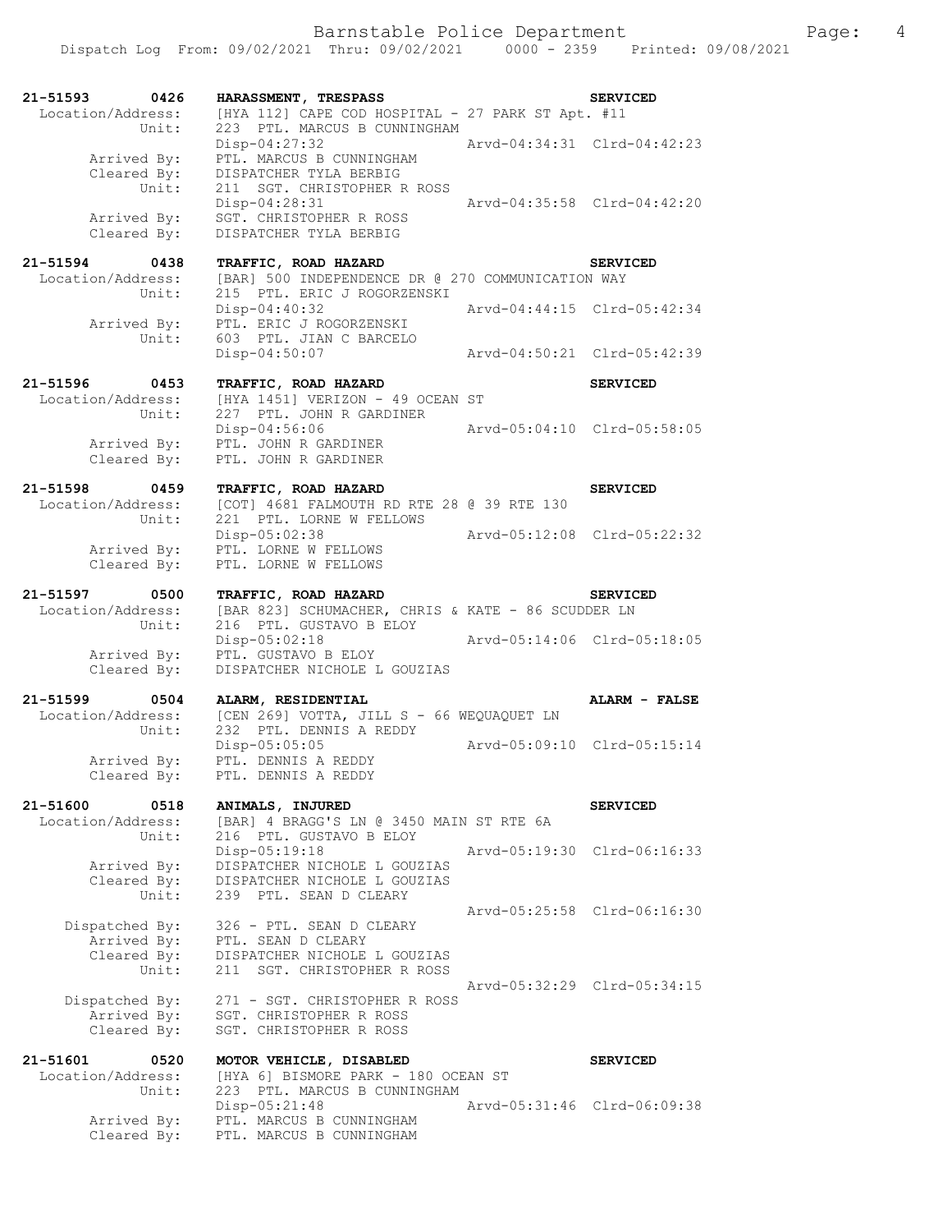| 21-51593 0426                             | HARASSMENT, TRESPASS                                                   |                             | <b>SERVICED</b>             |
|-------------------------------------------|------------------------------------------------------------------------|-----------------------------|-----------------------------|
| Location/Address:                         | [HYA 112] CAPE COD HOSPITAL - 27 PARK ST Apt. #11                      |                             |                             |
| Unit:                                     | 223 PTL. MARCUS B CUNNINGHAM                                           |                             |                             |
|                                           | $Disp-04:27:32$                                                        | Arvd-04:34:31 Clrd-04:42:23 |                             |
| Arrived By:<br>Cleared By:                | PTL. MARCUS B CUNNINGHAM<br>DISPATCHER TYLA BERBIG                     |                             |                             |
| Unit:                                     | 211 SGT. CHRISTOPHER R ROSS                                            |                             |                             |
|                                           | Disp-04:28:31                                                          | Arvd-04:35:58 Clrd-04:42:20 |                             |
| Arrived By:                               | SGT. CHRISTOPHER R ROSS                                                |                             |                             |
| Cleared By:                               | DISPATCHER TYLA BERBIG                                                 |                             |                             |
| 21-51594 0438                             | TRAFFIC, ROAD HAZARD                                                   |                             | <b>SERVICED</b>             |
| Location/Address:                         | [BAR] 500 INDEPENDENCE DR @ 270 COMMUNICATION WAY                      |                             |                             |
| Unit:                                     | 215 PTL. ERIC J ROGORZENSKI                                            |                             |                             |
|                                           | Disp-04:40:32                                                          | Arvd-04:44:15 Clrd-05:42:34 |                             |
| Arrived By:                               | PTL. ERIC J ROGORZENSKI                                                |                             |                             |
| Unit:                                     | 603 PTL. JIAN C BARCELO<br>Disp-04:50:07                               | Arvd-04:50:21 Clrd-05:42:39 |                             |
|                                           |                                                                        |                             |                             |
| 21-51596 0453                             | TRAFFIC, ROAD HAZARD                                                   |                             | <b>SERVICED</b>             |
| Location/Address:                         | [HYA 1451] VERIZON - 49 OCEAN ST                                       |                             |                             |
| Unit:                                     | 227 PTL. JOHN R GARDINER<br>Disp-04:56:06                              | Arvd-05:04:10 Clrd-05:58:05 |                             |
| Arrived By:                               | PTL. JOHN R GARDINER                                                   |                             |                             |
| Cleared By:                               | PTL. JOHN R GARDINER                                                   |                             |                             |
|                                           |                                                                        |                             |                             |
| 21-51598 0459                             | TRAFFIC, ROAD HAZARD                                                   |                             | <b>SERVICED</b>             |
| Location/Address:<br>Unit:                | [COT] 4681 FALMOUTH RD RTE 28 @ 39 RTE 130<br>221 PTL. LORNE W FELLOWS |                             |                             |
|                                           | $Disp-05:02:38$                                                        | Arvd-05:12:08 Clrd-05:22:32 |                             |
| Arrived By:                               | PTL. LORNE W FELLOWS                                                   |                             |                             |
| Cleared By:                               | PTL. LORNE W FELLOWS                                                   |                             |                             |
| 21-51597 0500                             | TRAFFIC, ROAD HAZARD                                                   |                             | <b>SERVICED</b>             |
| Location/Address:                         | [BAR 823] SCHUMACHER, CHRIS & KATE - 86 SCUDDER LN                     |                             |                             |
| Unit:                                     | 216 PTL. GUSTAVO B ELOY                                                |                             |                             |
|                                           | Disp-05:02:18                                                          | Arvd-05:14:06 Clrd-05:18:05 |                             |
| Arrived By:<br>Cleared By:                | PTL. GUSTAVO B ELOY<br>DISPATCHER NICHOLE L GOUZIAS                    |                             |                             |
|                                           |                                                                        |                             |                             |
| 21-51599<br>0504                          | ALARM, RESIDENTIAL                                                     |                             | ALARM - FALSE               |
| Location/Address:                         | [CEN 269] VOTTA, JILL S - 66 WEQUAQUET LN                              |                             |                             |
| Unit:                                     | 232 PTL. DENNIS A REDDY<br>Disp-05:05:05                               | Arvd-05:09:10 Clrd-05:15:14 |                             |
| Arrived By:                               | PTL. DENNIS A REDDY                                                    |                             |                             |
| Cleared By:                               | PTL. DENNIS A REDDY                                                    |                             |                             |
|                                           |                                                                        |                             |                             |
| $21 - 51600$<br>0518<br>Location/Address: | ANIMALS, INJURED                                                       |                             | <b>SERVICED</b>             |
| Unit:                                     | [BAR] 4 BRAGG'S LN @ 3450 MAIN ST RTE 6A<br>216 PTL. GUSTAVO B ELOY    |                             |                             |
|                                           | Disp-05:19:18                                                          |                             | Arvd-05:19:30 Clrd-06:16:33 |
| Arrived By:                               | DISPATCHER NICHOLE L GOUZIAS                                           |                             |                             |
| Cleared By:<br>Unit:                      | DISPATCHER NICHOLE L GOUZIAS<br>239 PTL. SEAN D CLEARY                 |                             |                             |
|                                           |                                                                        |                             | Arvd-05:25:58 Clrd-06:16:30 |
| Dispatched By:                            | 326 - PTL. SEAN D CLEARY                                               |                             |                             |
| Arrived By:                               | PTL. SEAN D CLEARY                                                     |                             |                             |
| Cleared By:<br>Unit:                      | DISPATCHER NICHOLE L GOUZIAS<br>211 SGT. CHRISTOPHER R ROSS            |                             |                             |
|                                           |                                                                        |                             | Arvd-05:32:29 Clrd-05:34:15 |
| Dispatched By:                            | 271 - SGT. CHRISTOPHER R ROSS                                          |                             |                             |
| Arrived By:                               | SGT. CHRISTOPHER R ROSS                                                |                             |                             |
| Cleared By:                               | SGT. CHRISTOPHER R ROSS                                                |                             |                             |
| $21 - 51601$<br>0520                      | MOTOR VEHICLE, DISABLED                                                |                             | <b>SERVICED</b>             |
| Location/Address:                         | [HYA 6] BISMORE PARK - 180 OCEAN ST                                    |                             |                             |
| Unit:                                     | 223 PTL. MARCUS B CUNNINGHAM                                           |                             |                             |
|                                           | Disp-05:21:48                                                          |                             | Arvd-05:31:46 Clrd-06:09:38 |
| Arrived By:<br>Cleared By:                | PTL. MARCUS B CUNNINGHAM<br>PTL. MARCUS B CUNNINGHAM                   |                             |                             |
|                                           |                                                                        |                             |                             |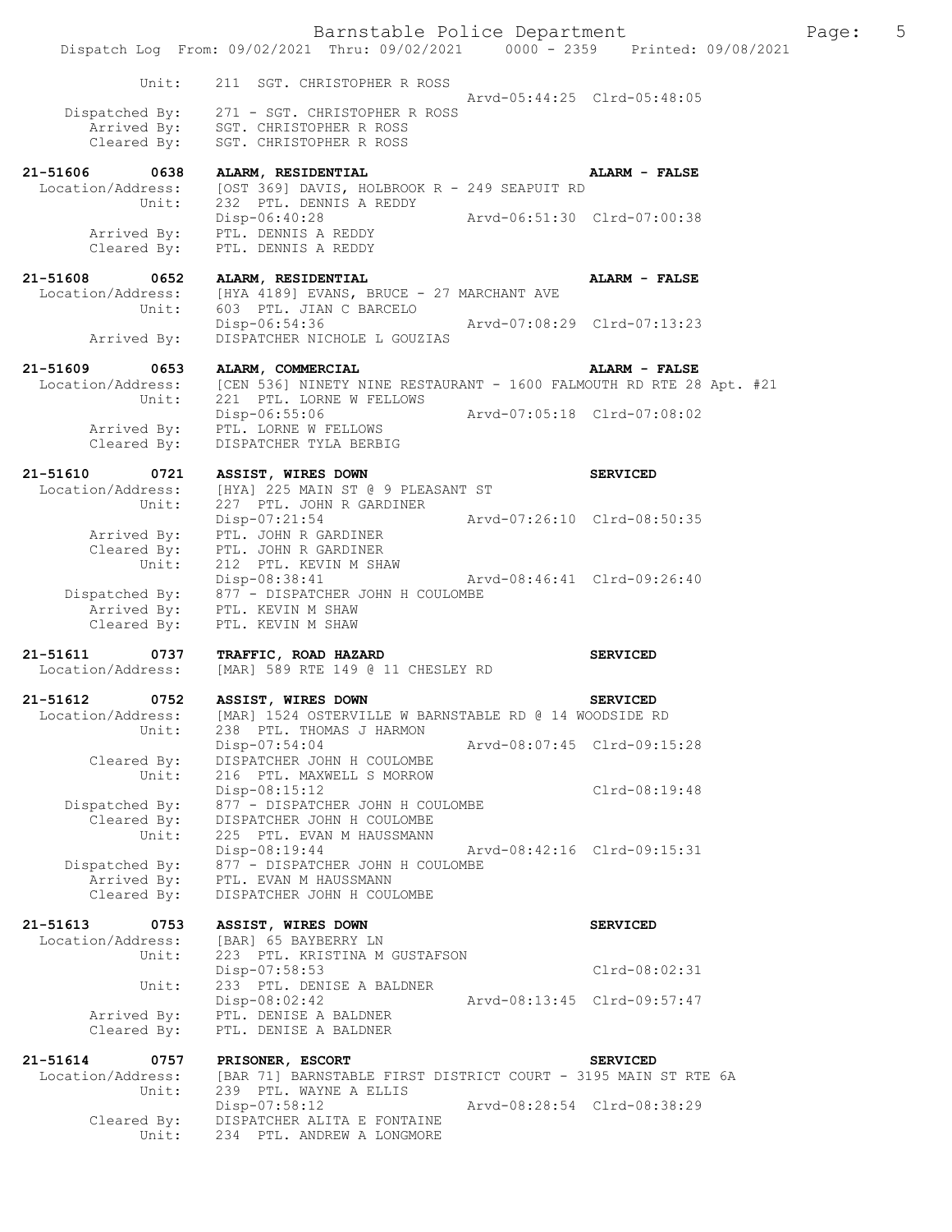|                                              | Barnstable Police Department<br>Dispatch Log From: 09/02/2021 Thru: 09/02/2021 0000 - 2359 Printed: 09/08/2021                                                    |                             |                             | 5<br>Page: |
|----------------------------------------------|-------------------------------------------------------------------------------------------------------------------------------------------------------------------|-----------------------------|-----------------------------|------------|
| Unit:                                        | 211 SGT. CHRISTOPHER R ROSS                                                                                                                                       |                             |                             |            |
| Dispatched By:                               | 271 - SGT. CHRISTOPHER R ROSS<br>Arrived By: SGT. CHRISTOPHER R ROSS<br>Cleared By: SGT. CHRISTOPHER R ROSS                                                       |                             | Arvd-05:44:25 Clrd-05:48:05 |            |
| 21-51606<br>0638                             | ALARM, RESIDENTIAL<br>Location/Address: [OST 369] DAVIS, HOLBROOK R - 249 SEAPUIT RD<br>Unit: 232 PTL. DENNIS A REDDY                                             |                             | ALARM - FALSE               |            |
|                                              | Disp-06:40:28<br>Arrived By: PTL. DENNIS A REDDY<br>Cleared By: PTL. DENNIS A REDDY                                                                               | Arvd-06:51:30 Clrd-07:00:38 |                             |            |
| 21-51608 0652 ALARM, RESIDENTIAL<br>Unit:    | Location/Address: [HYA 4189] EVANS, BRUCE - 27 MARCHANT AVE<br>603 PTL. JIAN C BARCELO                                                                            |                             | ALARM - FALSE               |            |
| Arrived By:                                  | Disp-06:54:36 Arvd-07:08:29 Clrd-07:13:23<br>DISPATCHER NICHOLE L GOUZIAS                                                                                         |                             |                             |            |
| 21-51609<br>0653<br>Unit:                    | ALARM, COMMERCIAL<br>Location/Address: [CEN 536] NINETY NINE RESTAURANT - 1600 FALMOUTH RD RTE 28 Apt. #21<br>221 PTL. LORNE W FELLOWS                            |                             | ALARM - FALSE               |            |
| Cleared By:                                  | Disp-06:55:06 Arvd-07:05:18 Clrd-07:08:02<br>Arrived By: PTL. LORNE W FELLOWS<br>DISPATCHER TYLA BERBIG                                                           |                             |                             |            |
| 21-51610                                     | 0721 ASSIST, WIRES DOWN<br>Location/Address: [HYA] 225 MAIN ST @ 9 PLEASANT ST                                                                                    |                             | <b>SERVICED</b>             |            |
| Unit:                                        | 227 PTL. JOHN R GARDINER<br>Disp-07:21:54<br>Arrived By: PTL. JOHN R GARDINER<br>Cleared By: PTL. JOHN R GARDINER                                                 | Arvd-07:26:10 Clrd-08:50:35 |                             |            |
|                                              | Unit: 212 PTL. KEVIN M SHAW<br>Disp-08:38:41<br>Dispatched By: 877 - DISPATCHER JOHN H COULOMBE<br>Arrived By: PTL. KEVIN M SHAW<br>Cleared By: PTL. KEVIN M SHAW | Arvd-08:46:41 Clrd-09:26:40 |                             |            |
| Location/Address:                            | 21-51611 0737 TRAFFIC, ROAD HAZARD<br>[MAR] 589 RTE 149 @ 11 CHESLEY RD                                                                                           |                             | <b>SERVICED</b>             |            |
| 21-51612 0752<br>Unit:                       | ASSIST, WIRES DOWN<br>Location/Address: [MAR] 1524 OSTERVILLE W BARNSTABLE RD @ 14 WOODSIDE RD<br>238 PTL. THOMAS J HARMON                                        |                             | <b>SERVICED</b>             |            |
| Cleared By:<br>Unit:                         | $Disp-07:54:04$<br>DISPATCHER JOHN H COULOMBE<br>216 PTL. MAXWELL S MORROW                                                                                        | Arvd-08:07:45 Clrd-09:15:28 |                             |            |
| Dispatched By:<br>Unit:                      | Disp-08:15:12<br>877 - DISPATCHER JOHN H COULOMBE<br>Cleared By: DISPATCHER JOHN H COULOMBE<br>225 PTL. EVAN M HAUSSMANN                                          |                             | $Clrd-08:19:48$             |            |
| Dispatched By:<br>Arrived By:<br>Cleared By: | Disp-08:19:44<br>877 - DISPATCHER JOHN H COULOMBE<br>PTL. EVAN M HAUSSMANN<br>DISPATCHER JOHN H COULOMBE                                                          | Arvd-08:42:16 Clrd-09:15:31 |                             |            |
| 21-51613<br>0753<br>Location/Address:        | ASSIST, WIRES DOWN<br>[BAR] 65 BAYBERRY LN                                                                                                                        |                             | <b>SERVICED</b>             |            |
| Unit:<br>Unit:                               | 223 PTL. KRISTINA M GUSTAFSON<br>Disp-07:58:53<br>233 PTL. DENISE A BALDNER                                                                                       |                             | Clrd-08:02:31               |            |
| Arrived By:<br>Cleared By:                   | Disp-08:02:42<br>PTL. DENISE A BALDNER<br>PTL. DENISE A BALDNER                                                                                                   |                             | Arvd-08:13:45 Clrd-09:57:47 |            |
| 21-51614<br>0757                             | PRISONER, ESCORT                                                                                                                                                  |                             | <b>SERVICED</b>             |            |
| Location/Address:<br>Unit:                   | [BAR 71] BARNSTABLE FIRST DISTRICT COURT - 3195 MAIN ST RTE 6A<br>239 PTL. WAYNE A ELLIS<br>Disp-07:58:12                                                         |                             | Arvd-08:28:54 Clrd-08:38:29 |            |
| Cleared By:<br>Unit:                         | DISPATCHER ALITA E FONTAINE<br>234 PTL. ANDREW A LONGMORE                                                                                                         |                             |                             |            |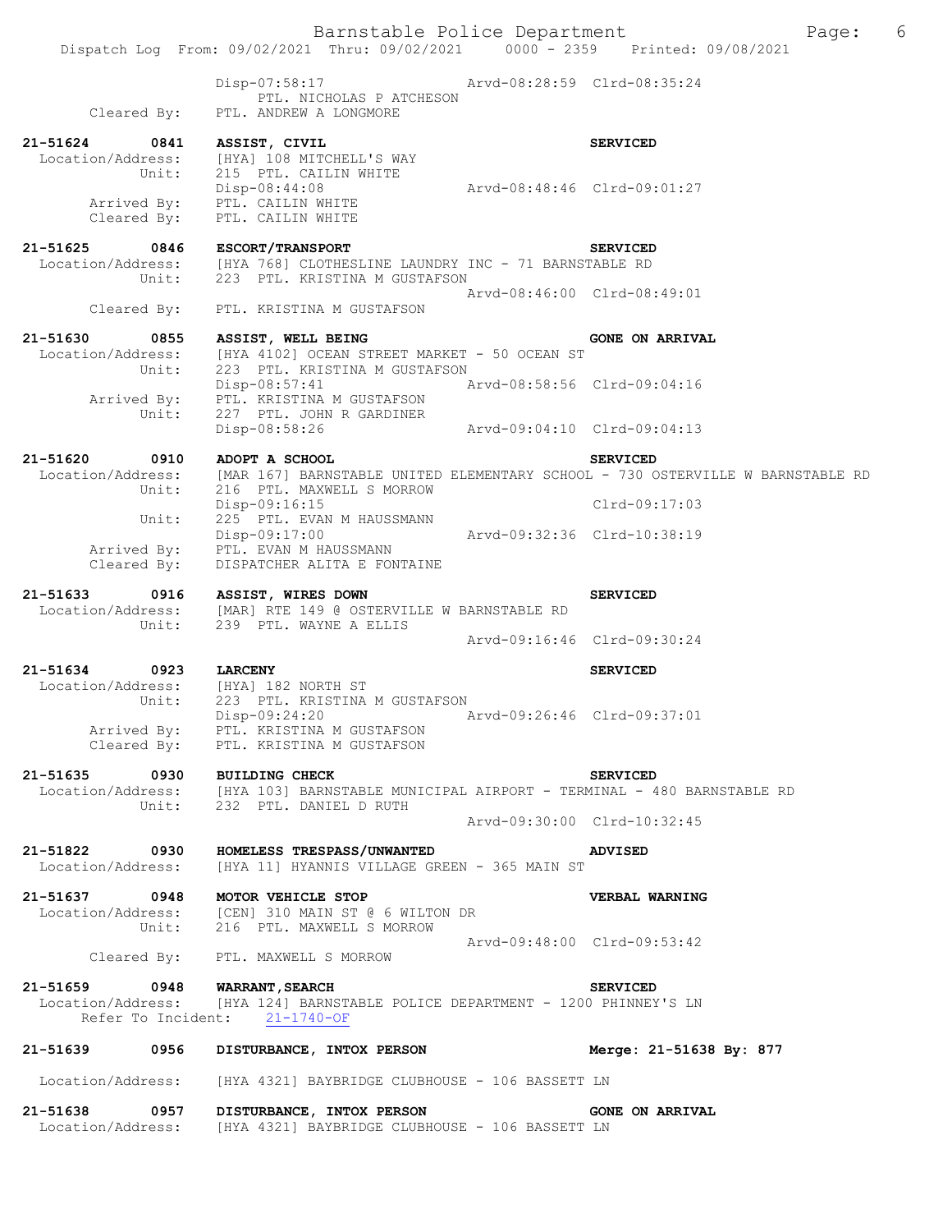|                       |             | Barnstable Police Department<br>Dispatch Log From: 09/02/2021 Thru: 09/02/2021 0000 - 2359 Printed: 09/08/2021                                  |                             | 6<br>Page:                                                                                                          |
|-----------------------|-------------|-------------------------------------------------------------------------------------------------------------------------------------------------|-----------------------------|---------------------------------------------------------------------------------------------------------------------|
|                       |             |                                                                                                                                                 |                             |                                                                                                                     |
|                       |             | Disp-07:58:17 Arvd-08:28:59 Clrd-08:35:24<br>PTL. NICHOLAS P ATCHESON<br>Cleared By: PTL. ANDREW A LONGMORE                                     |                             |                                                                                                                     |
|                       |             | 21-51624 0841 ASSIST, CIVIL<br>Location/Address: [HYA] 108 MITCHELL'S WAY                                                                       |                             | <b>SERVICED</b>                                                                                                     |
|                       |             | Unit: 215 PTL. CAILIN WHITE<br>$Disp-08:44:08$<br>Arrived By: PTL. CAILIN WHITE<br>Cleared By: PTL. CAILIN WHITE                                | Arvd-08:48:46 Clrd-09:01:27 |                                                                                                                     |
|                       |             |                                                                                                                                                 |                             |                                                                                                                     |
|                       |             | 21-51625 0846 ESCORT/TRANSPORT<br>Location/Address: [HYA 768] CLOTHESLINE LAUNDRY INC - 71 BARNSTABLE RD<br>Unit: 223 PTL. KRISTINA M GUSTAFSON |                             | <b>SERVICED</b>                                                                                                     |
|                       |             | Cleared By: PTL. KRISTINA M GUSTAFSON                                                                                                           | Arvd-08:46:00 Clrd-08:49:01 |                                                                                                                     |
|                       |             | 21-51630 0855 ASSIST, WELL BEING                                                                                                                |                             | <b>GONE ON ARRIVAL</b>                                                                                              |
|                       |             | Location/Address: [HYA 4102] OCEAN STREET MARKET - 50 OCEAN ST<br>Unit: 223 PTL. KRISTINA M GUSTAFSON                                           |                             |                                                                                                                     |
|                       |             | Disp-08:57:41    Arvd-08:58:56    Clrd-09:04:16<br>Arrived By: PTL. KRISTINA M GUSTAFSON<br>Unit: 227 PTL. JOHN R GARDINER                      |                             |                                                                                                                     |
|                       |             | Disp-08:58:26 Arvd-09:04:10 Clrd-09:04:13                                                                                                       |                             |                                                                                                                     |
|                       |             | 21-51620 0910 ADOPT A SCHOOL<br>Unit: 216 PTL. MAXWELL S MORROW                                                                                 |                             | <b>SERVICED</b><br>Location/Address: [MAR 167] BARNSTABLE UNITED ELEMENTARY SCHOOL - 730 OSTERVILLE W BARNSTABLE RD |
|                       |             | Disp-09:16:15                                                                                                                                   |                             | Clrd-09:17:03                                                                                                       |
|                       |             | Unit: 225 PTL. EVAN M HAUSSMANN<br>Disp-09:17:00 Arvd-09:32:36 Clrd-10:38:19<br>Arrived By: PTL. EVAN M HAUSSMANN                               |                             |                                                                                                                     |
|                       | Cleared By: | DISPATCHER ALITA E FONTAINE                                                                                                                     |                             |                                                                                                                     |
|                       |             | 21-51633 0916 ASSIST, WIRES DOWN<br>Location/Address: [MAR] RTE 149 @ OSTERVILLE W BARNSTABLE RD<br>Unit: 239 PTL. WAYNE A ELLIS                |                             | <b>SERVICED</b>                                                                                                     |
|                       |             |                                                                                                                                                 | Arvd-09:16:46 Clrd-09:30:24 |                                                                                                                     |
| 21-51634 0923 LARCENY |             | Location/Address: [HYA] 182 NORTH ST<br>Unit: 223 PTL. KRISTINA M GUSTAFSON                                                                     |                             | <b>SERVICED</b>                                                                                                     |
|                       |             | Disp-09:24:20<br>Arrived By: PTL. KRISTINA M GUSTAFSON<br>Cleared By: PTL. KRISTINA M GUSTAFSON                                                 | Arvd-09:26:46 Clrd-09:37:01 |                                                                                                                     |
|                       |             | 21-51635 0930 BUILDING CHECK                                                                                                                    |                             | <b>SERVICED</b>                                                                                                     |
|                       |             | Location/Address: [HYA 103] BARNSTABLE MUNICIPAL AIRPORT - TERMINAL - 480 BARNSTABLE RD<br>Unit: 232 PTL. DANIEL D RUTH                         |                             |                                                                                                                     |
|                       |             |                                                                                                                                                 | Arvd-09:30:00 Clrd-10:32:45 |                                                                                                                     |
| Location/Address:     |             | 21-51822 0930 HOMELESS TRESPASS/UNWANTED<br>[HYA 11] HYANNIS VILLAGE GREEN - 365 MAIN ST                                                        |                             | <b>ADVISED</b>                                                                                                      |
|                       |             | 21-51637 0948 MOTOR VEHICLE STOP<br>Location/Address: [CEN] 310 MAIN ST @ 6 WILTON DR<br>Unit: 216 PTL. MAXWELL S MORROW                        |                             | VERBAL WARNING                                                                                                      |
|                       |             | Cleared By: PTL. MAXWELL S MORROW                                                                                                               | Arvd-09:48:00 Clrd-09:53:42 |                                                                                                                     |
|                       |             | 21-51659 0948 WARRANT, SEARCH<br>Location/Address: [HYA 124] BARNSTABLE POLICE DEPARTMENT - 1200 PHINNEY'S LN<br>Refer To Incident: 21-1740-OF  |                             | <b>SERVICED</b>                                                                                                     |
|                       |             | 21-51639 0956 DISTURBANCE, INTOX PERSON                                                                                                         |                             | Merge: 21-51638 By: 877                                                                                             |
|                       |             |                                                                                                                                                 |                             |                                                                                                                     |
| Location/Address:     |             | [HYA 4321] BAYBRIDGE CLUBHOUSE - 106 BASSETT LN                                                                                                 |                             |                                                                                                                     |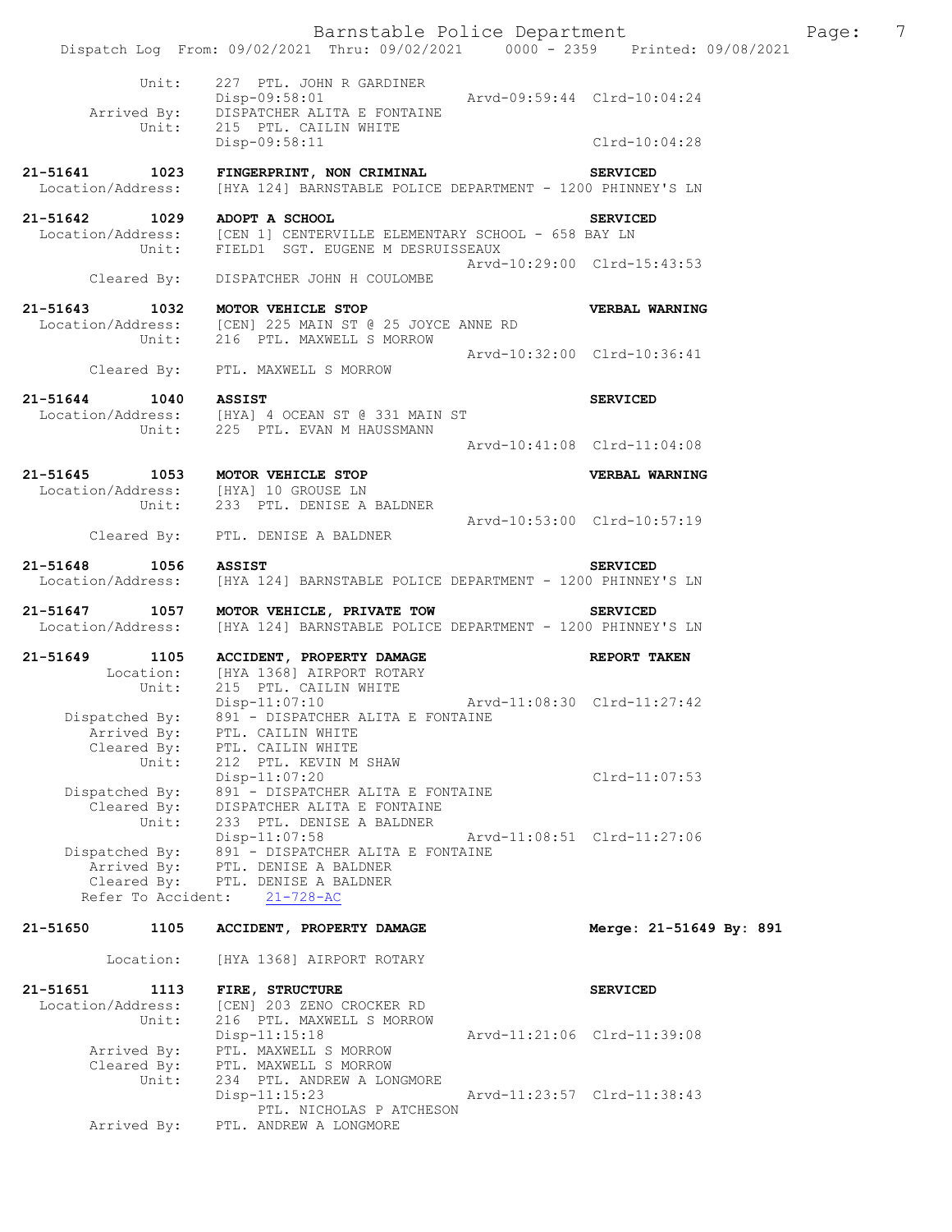|                                                | Barnstable Police Department<br>Dispatch Log From: 09/02/2021 Thru: 09/02/2021 0000 - 2359 Printed: 09/08/2021                                                         | $\overline{7}$<br>Page:                                    |
|------------------------------------------------|------------------------------------------------------------------------------------------------------------------------------------------------------------------------|------------------------------------------------------------|
|                                                | Unit: 227 PTL. JOHN R GARDINER<br>Disp-09:58:01 Arvd-09:59:44 Clrd-10:04:24<br>Arrived By: DISPATCHER ALITA E FONTAINE<br>Unit: 215 PTL. CAILIN WHITE<br>Disp-09:58:11 | Clrd-10:04:28                                              |
| 21-51641 1023                                  | FINGERPRINT, NON CRIMINAL<br>Location/Address: [HYA 124] BARNSTABLE POLICE DEPARTMENT - 1200 PHINNEY'S LN                                                              | <b>SERVICED</b>                                            |
| 21-51642 1029 ADOPT A SCHOOL                   | Location/Address: [CEN 1] CENTERVILLE ELEMENTARY SCHOOL - 658 BAY LN<br>Unit: FIELD1 SGT. EUGENE M DESRUISSEAUX                                                        | <b>SERVICED</b>                                            |
|                                                | Cleared By: DISPATCHER JOHN H COULOMBE                                                                                                                                 | Arvd-10:29:00 Clrd-15:43:53                                |
| $21 - 51643$                                   | 1032 MOTOR VEHICLE STOP<br>Location/Address: [CEN] 225 MAIN ST @ 25 JOYCE ANNE RD<br>Unit: 216 PTL. MAXWELL S MORROW                                                   | VERBAL WARNING                                             |
|                                                | Cleared By: PTL. MAXWELL S MORROW                                                                                                                                      | Arvd-10:32:00 Clrd-10:36:41                                |
| $21 - 51644$ 1040 ASSIST                       | Location/Address: [HYA] 4 OCEAN ST @ 331 MAIN ST<br>Unit: 225 PTL. EVAN M HAUSSMANN                                                                                    | <b>SERVICED</b><br>Arvd-10:41:08 Clrd-11:04:08             |
|                                                | 21-51645 1053 MOTOR VEHICLE STOP                                                                                                                                       | VERBAL WARNING                                             |
|                                                | Location/Address: [HYA] 10 GROUSE LN<br>Unit: 233 PTL. DENISE A BALDNER                                                                                                | Arvd-10:53:00 Clrd-10:57:19                                |
|                                                | Cleared By: PTL. DENISE A BALDNER                                                                                                                                      |                                                            |
| 21-51648 1056                                  | <b>ASSIST</b><br>Location/Address: [HYA 124] BARNSTABLE POLICE DEPARTMENT - 1200 PHINNEY'S LN                                                                          | <b>SERVICED</b>                                            |
|                                                |                                                                                                                                                                        |                                                            |
|                                                | 21-51647 1057 MOTOR VEHICLE, PRIVATE TOW<br>Location/Address: [HYA 124] BARNSTABLE POLICE DEPARTMENT - 1200 PHINNEY'S LN                                               | <b>SERVICED</b>                                            |
| Unit:                                          | 21-51649 1105 ACCIDENT, PROPERTY DAMAGE<br>Location: [HYA 1368] AIRPORT ROTARY<br>215 PTL. CAILIN WHITE                                                                | <b>REPORT TAKEN</b>                                        |
| Dispatched By:<br>Arrived By:                  | HITE<br>Arvd-11:08:30 Clrd-11:27:42<br>$Disp-11:07:10$<br>891 - DISPATCHER ALITA E FONTAINE<br>PTL. CAILIN WHITE<br>Cleared By: PTL. CAILIN WHITE                      |                                                            |
| Unit:<br>Cleared By:<br>Unit:                  | 212 PTL. KEVIN M SHAW<br>$Disp-11:07:20$<br>Dispatched By: 891 - DISPATCHER ALITA E FONTAINE<br>DISPATCHER ALITA E FONTAINE<br>233 PTL. DENISE A BALDNER               | $Clrd-11:07:53$                                            |
| Dispatched By:                                 | Disp-11:07:58<br>891 - DISPATCHER ALITA E FONTAINE<br>Arrived By: PTL. DENISE A BALDNER<br>Cleared By: PTL. DENISE A BALDNER<br>Refer To Accident: 21-728-AC           | Arvd-11:08:51 Clrd-11:27:06                                |
| 1105<br>21-51650                               | ACCIDENT, PROPERTY DAMAGE                                                                                                                                              | Merge: 21-51649 By: 891                                    |
| Location:                                      | [HYA 1368] AIRPORT ROTARY                                                                                                                                              |                                                            |
| 21-51651<br>1113<br>Location/Address:<br>Unit: | FIRE, STRUCTURE<br>[CEN] 203 ZENO CROCKER RD<br>216 PTL. MAXWELL S MORROW                                                                                              | <b>SERVICED</b>                                            |
| Arrived By:<br>Cleared By:<br>Unit:            | Disp-11:15:18<br>PTL. MAXWELL S MORROW<br>PTL. MAXWELL S MORROW<br>234 PTL. ANDREW A LONGMORE<br>$Disp-11:15:23$                                                       | Arvd-11:21:06 Clrd-11:39:08<br>Arvd-11:23:57 Clrd-11:38:43 |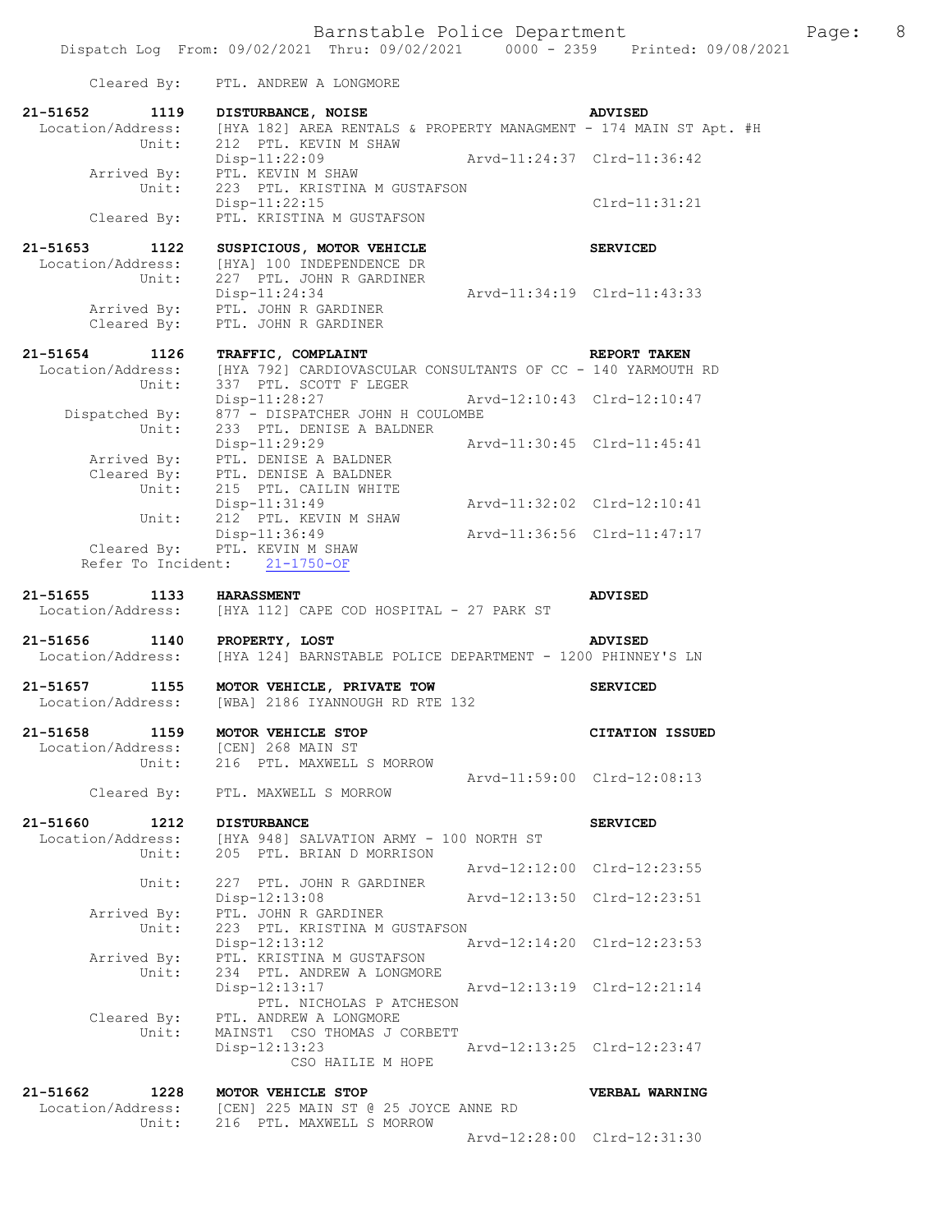Dispatch Log From: 09/02/2021 Thru: 09/02/2021 0000 - 2359 Printed: 09/08/2021

|                                                | Cleared By: PTL. ANDREW A LONGMORE                                                                                        |                             |
|------------------------------------------------|---------------------------------------------------------------------------------------------------------------------------|-----------------------------|
| 21-51652 1119                                  | DISTURBANCE, NOISE<br>Location/Address: [HYA 182] AREA RENTALS & PROPERTY MANAGMENT - 174 MAIN ST Apt. #H                 | <b>ADVISED</b>              |
|                                                | Unit: 212 PTL. KEVIN M SHAW<br>Disp-11:22:09 Arvd-11:24:37 Clrd-11:36:42<br>Arrived By: PTL. KEVIN M SHAW                 |                             |
| Unit:<br>Cleared By:                           | 223 PTL. KRISTINA M GUSTAFSON<br>$Disp-11:22:15$<br>PTL. KRISTINA M GUSTAFSON                                             | Clrd-11:31:21               |
| 21-51653<br>1122                               | SUSPICIOUS, MOTOR VEHICLE                                                                                                 | <b>SERVICED</b>             |
| Unit:                                          | Location/Address: [HYA] 100 INDEPENDENCE DR<br>227 PTL. JOHN R GARDINER<br>Arvd-11:34:19 Clrd-11:43:33<br>Disp-11:24:34   |                             |
|                                                | Arrived By: PTL. JOHN R GARDINER<br>Cleared By: PTL. JOHN R GARDINER                                                      |                             |
| 21-51654 1126<br>Location/Address:<br>Unit:    | TRAFFIC, COMPLAINT<br>[HYA 792] CARDIOVASCULAR CONSULTANTS OF CC - 140 YARMOUTH RD<br>337 PTL. SCOTT F LEGER              | <b>REPORT TAKEN</b>         |
| Unit:                                          | Disp-11:28:27 Arvd-12:10:43 Clrd-12:10:47<br>Dispatched By: 877 - DISPATCHER JOHN H COULOMBE<br>233 PTL. DENISE A BALDNER |                             |
|                                                | Arvd-11:30:45 Clrd-11:45:41<br>Disp-11:29:29<br>Arrived By: PTL. DENISE A BALDNER<br>Cleared By: PTL. DENISE A BALDNER    |                             |
|                                                | Unit: 215 PTL. CAILIN WHITE<br>Disp-11:31:49                                                                              | Arvd-11:32:02 Clrd-12:10:41 |
|                                                | Unit: 212 PTL. KEVIN M SHAW<br>Disp-11:36:49<br>Cleared By: PTL. KEVIN M SHAW                                             | Arvd-11:36:56 Clrd-11:47:17 |
|                                                | Refer To Incident: 21-1750-OF                                                                                             |                             |
| 21-51655<br>1133<br>Location/Address:          | <b>HARASSMENT</b><br>[HYA 112] CAPE COD HOSPITAL - 27 PARK ST                                                             | <b>ADVISED</b>              |
| 21-51656<br>1140<br>Location/Address:          | PROPERTY, LOST<br>[HYA 124] BARNSTABLE POLICE DEPARTMENT - 1200 PHINNEY'S LN                                              | <b>ADVISED</b>              |
| 21-51657<br>1155<br>Location/Address:          | MOTOR VEHICLE, PRIVATE TOW<br>[WBA] 2186 IYANNOUGH RD RTE 132                                                             | <b>SERVICED</b>             |
| 21-51658 1159                                  | MOTOR VEHICLE STOP<br>Location/Address: [CEN] 268 MAIN ST<br>Unit: 216 PTL. MAXWELL<br>216 PTL. MAXWELL S MORROW          | <b>CITATION ISSUED</b>      |
|                                                | Cleared By: PTL. MAXWELL S MORROW                                                                                         | Arvd-11:59:00 Clrd-12:08:13 |
| 21-51660<br>1212                               | <b>DISTURBANCE</b>                                                                                                        | <b>SERVICED</b>             |
| Location/Address:<br>Unit:                     | [HYA 948] SALVATION ARMY - 100 NORTH ST<br>205 PTL. BRIAN D MORRISON                                                      | Arvd-12:12:00 Clrd-12:23:55 |
| Unit:                                          | 227 PTL. JOHN R GARDINER                                                                                                  |                             |
| Arrived By:<br>Unit:                           | Disp-12:13:08<br>PTL. JOHN R GARDINER<br>223 PTL. KRISTINA M GUSTAFSON                                                    | Arvd-12:13:50 Clrd-12:23:51 |
|                                                | $Disp-12:13:12$                                                                                                           | Arvd-12:14:20 Clrd-12:23:53 |
| Arrived By:<br>Unit:                           | PTL. KRISTINA M GUSTAFSON<br>234 PTL. ANDREW A LONGMORE<br>Disp-12:13:17                                                  | Arvd-12:13:19 Clrd-12:21:14 |
| Cleared By:<br>Unit:                           | PTL. NICHOLAS P ATCHESON<br>PTL. ANDREW A LONGMORE<br>MAINST1 CSO THOMAS J CORBETT                                        |                             |
|                                                | Disp-12:13:23<br>CSO HAILIE M HOPE                                                                                        | Arvd-12:13:25 Clrd-12:23:47 |
| 21-51662<br>1228<br>Location/Address:<br>Unit: | MOTOR VEHICLE STOP<br>[CEN] 225 MAIN ST @ 25 JOYCE ANNE RD<br>216 PTL. MAXWELL S MORROW                                   | VERBAL WARNING              |

Arvd-12:28:00 Clrd-12:31:30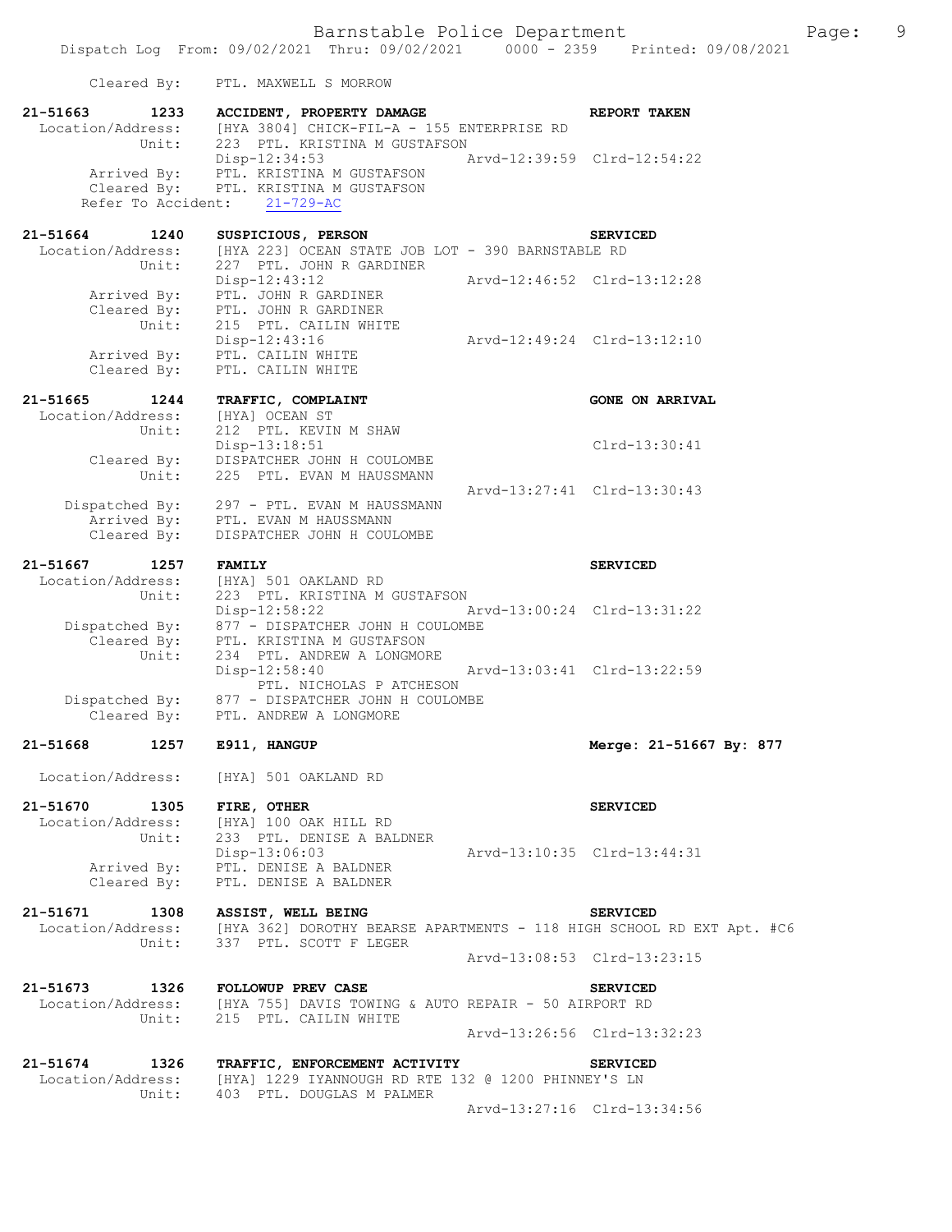|                                             | Cleared By: PTL. MAXWELL S MORROW                                                                        |                             |                             |
|---------------------------------------------|----------------------------------------------------------------------------------------------------------|-----------------------------|-----------------------------|
| 21-51663 1233<br>Location/Address:<br>Unit: | ACCIDENT, PROPERTY DAMAGE<br>[HYA 3804] CHICK-FIL-A - 155 ENTERPRISE RD<br>223 PTL. KRISTINA M GUSTAFSON |                             | REPORT TAKEN                |
| Arrived By:                                 | Disp-12:34:53<br>PTL. KRISTINA M GUSTAFSON                                                               | Arvd-12:39:59 Clrd-12:54:22 |                             |
|                                             | Cleared By: PTL. KRISTINA M GUSTAFSON<br>Refer To Accident: 21-729-AC                                    |                             |                             |
| $21 - 51664$<br>1240<br>Location/Address:   | SUSPICIOUS, PERSON<br>[HYA 223] OCEAN STATE JOB LOT - 390 BARNSTABLE RD                                  |                             | <b>SERVICED</b>             |
| Unit:                                       | 227 PTL. JOHN R GARDINER                                                                                 |                             |                             |
| Arrived By:                                 | Disp-12:43:12<br>PTL. JOHN R GARDINER                                                                    |                             | Arvd-12:46:52 Clrd-13:12:28 |
| Unit:                                       | Cleared By: PTL. JOHN R GARDINER<br>215 PTL. CAILIN WHITE                                                |                             |                             |
|                                             | Disp-12:43:16                                                                                            | Arvd-12:49:24 Clrd-13:12:10 |                             |
| Cleared By:                                 | Arrived By: PTL. CAILIN WHITE<br>PTL. CAILIN WHITE                                                       |                             |                             |
|                                             |                                                                                                          |                             |                             |
| 21-51665<br>1244<br>Location/Address:       | TRAFFIC, COMPLAINT<br>[HYA] OCEAN ST                                                                     |                             | <b>GONE ON ARRIVAL</b>      |
| Unit:                                       | 212 PTL. KEVIN M SHAW                                                                                    |                             |                             |
| Cleared By:                                 | $Disp-13:18:51$<br>DISPATCHER JOHN H COULOMBE                                                            |                             | $Clrd-13:30:41$             |
| Unit:                                       | 225 PTL. EVAN M HAUSSMANN                                                                                | Arvd-13:27:41 Clrd-13:30:43 |                             |
|                                             | Dispatched By: 297 - PTL. EVAN M HAUSSMANN                                                               |                             |                             |
| Arrived By:<br>Cleared By:                  | PTL. EVAN M HAUSSMANN<br>DISPATCHER JOHN H COULOMBE                                                      |                             |                             |
|                                             |                                                                                                          |                             |                             |
| 21-51667 1257<br>Location/Address:          | <b>FAMILY</b><br>[HYA] 501 OAKLAND RD                                                                    |                             | <b>SERVICED</b>             |
| Unit:                                       | 223 PTL. KRISTINA M GUSTAFSON                                                                            |                             |                             |
|                                             | $Disp-12:58:22$<br>Dispatched By: 877 - DISPATCHER JOHN H COULOMBE                                       | Arvd-13:00:24 Clrd-13:31:22 |                             |
| Cleared By:<br>Unit:                        | PTL. KRISTINA M GUSTAFSON                                                                                |                             |                             |
|                                             | 234 PTL. ANDREW A LONGMORE<br>Disp-12:58:40                                                              | Arvd-13:03:41 Clrd-13:22:59 |                             |
| Dispatched By:                              | PTL. NICHOLAS P ATCHESON<br>877 - DISPATCHER JOHN H COULOMBE                                             |                             |                             |
| Cleared By:                                 | PTL. ANDREW A LONGMORE                                                                                   |                             |                             |
| 21-51668<br>1257                            | E911, HANGUP                                                                                             |                             | Merge: 21-51667 By: 877     |
|                                             | Location/Address: [HYA] 501 OAKLAND RD                                                                   |                             |                             |
| 21-51670 1305 FIRE, OTHER                   |                                                                                                          |                             | <b>SERVICED</b>             |
| Unit:                                       | Location/Address: [HYA] 100 OAK HILL RD<br>233 PTL. DENISE A BALDNER                                     |                             |                             |
|                                             | Disp-13:06:03                                                                                            |                             |                             |
| Cleared By:                                 | Arrived By: PTL. DENISE A BALDNER<br>PTL. DENISE A BALDNER                                               |                             |                             |
| 21-51671 1308                               | <b>ASSIST, WELL BEING</b>                                                                                |                             | <b>SERVICED</b>             |
|                                             | Location/Address: [HYA 362] DOROTHY BEARSE APARTMENTS - 118 HIGH SCHOOL RD EXT Apt. #C6                  |                             |                             |
|                                             | Unit: 337 PTL. SCOTT F LEGER                                                                             | Arvd-13:08:53 Clrd-13:23:15 |                             |
| 21-51673 1326                               | FOLLOWUP PREV CASE                                                                                       |                             | <b>SERVICED</b>             |
|                                             | Location/Address: [HYA 755] DAVIS TOWING & AUTO REPAIR - 50 AIRPORT RD                                   |                             |                             |
|                                             | Unit: 215 PTL. CAILIN WHITE                                                                              | Arvd-13:26:56 Clrd-13:32:23 |                             |
|                                             | 21-51674 1326 TRAFFIC, ENFORCEMENT ACTIVITY SERVICED                                                     |                             |                             |
|                                             | Location/Address: [HYA] 1229 IYANNOUGH RD RTE 132 @ 1200 PHINNEY'S LN                                    |                             |                             |
|                                             | Unit: 403 PTL. DOUGLAS M PALMER                                                                          | Arvd-13:27:16 Clrd-13:34:56 |                             |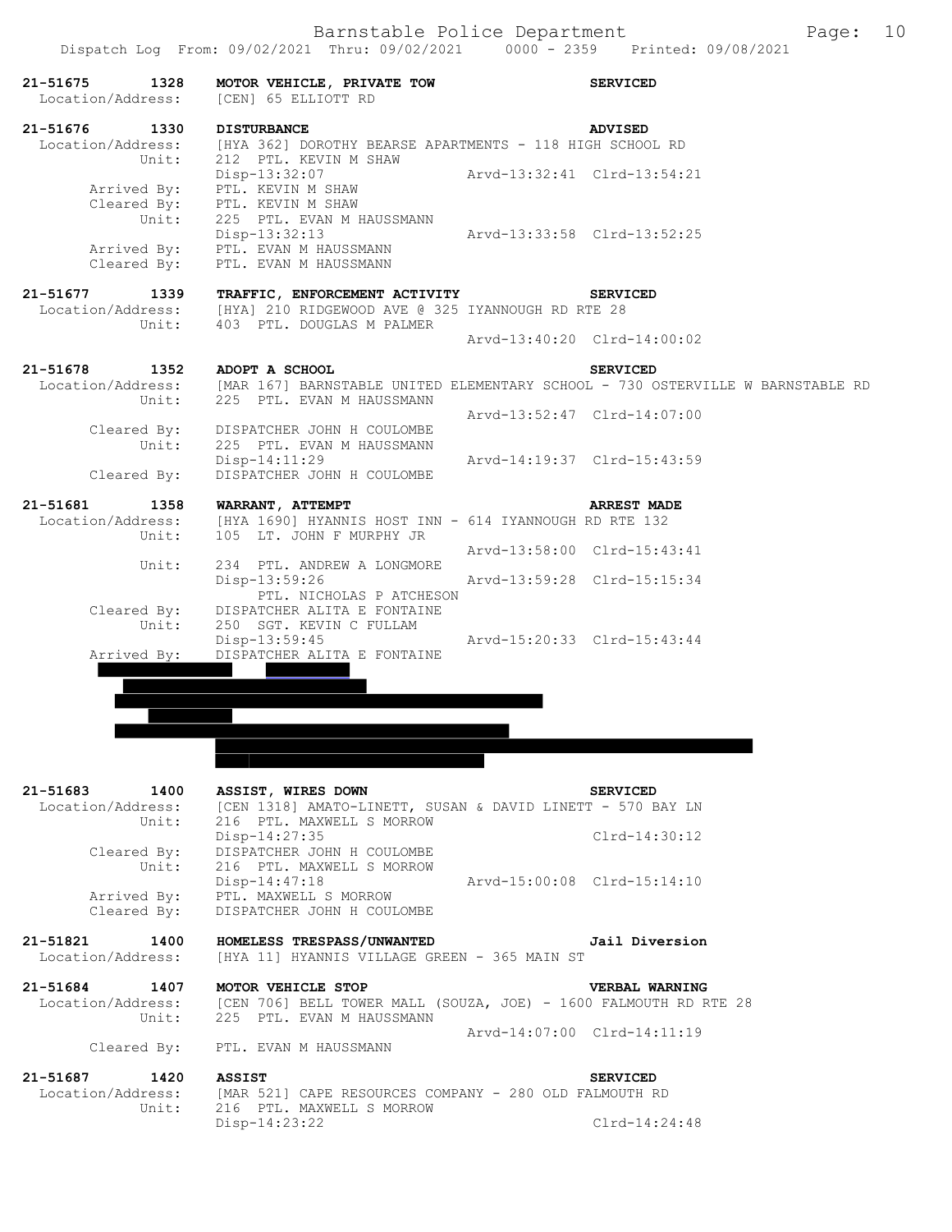| 21-51675 1328                  | MOTOR VEHICLE, PRIVATE TOW<br>Location/Address: [CEN] 65 ELLIOTT RD                                                                                            | <b>SERVICED</b>                                                                                  |
|--------------------------------|----------------------------------------------------------------------------------------------------------------------------------------------------------------|--------------------------------------------------------------------------------------------------|
| 21-51676 1330 DISTURBANCE      |                                                                                                                                                                | ADVISED                                                                                          |
|                                | Location/Address: [HYA 362] DOROTHY BEARSE APARTMENTS - 118 HIGH SCHOOL RD<br>Unit: 212 PTL. KEVIN M SHAW                                                      |                                                                                                  |
|                                | Disp-13:32:07                                                                                                                                                  | Arvd-13:32:41 Clrd-13:54:21                                                                      |
|                                | Arrived By: PTL. KEVIN M SHAW<br>Cleared By: PTL. KEVIN M SHAW<br>Unit: 225 PTL. EVAN M HAUSSMANN                                                              |                                                                                                  |
|                                | Disp-13:32:13 Arvd-13:33:58 Clrd-13:52:25<br>Arrived By: PTL. EVAN M HAUSSMANN<br>Cleared By: PTL. EVAN M HAUSSMANN                                            |                                                                                                  |
|                                |                                                                                                                                                                |                                                                                                  |
|                                | 21-51677 1339 TRAFFIC, ENFORCEMENT ACTIVITY SERVICED<br>Location/Address: [HYA] 210 RIDGEWOOD AVE @ 325 IYANNOUGH RD RTE 28<br>Unit: 403 PTL. DOUGLAS M PALMER |                                                                                                  |
|                                |                                                                                                                                                                | Arvd-13:40:20 Clrd-14:00:02                                                                      |
| 21-51678 1352 ADOPT A SCHOOL   |                                                                                                                                                                | <b>SERVICED</b>                                                                                  |
|                                | Unit: 225 PTL. EVAN M HAUSSMANN                                                                                                                                | Location/Address: [MAR 167] BARNSTABLE UNITED ELEMENTARY SCHOOL - 730 OSTERVILLE W BARNSTABLE RD |
|                                |                                                                                                                                                                | Arvd-13:52:47 Clrd-14:07:00                                                                      |
|                                | Cleared By: DISPATCHER JOHN H COULOMBE<br>Unit: 225 PTL. EVAN M HAUSSMANN                                                                                      |                                                                                                  |
|                                | Disp-14:11:29 Arvd-14:19:37 Clrd-15:43:59<br>Cleared By: DISPATCHER JOHN H COULOMBE                                                                            |                                                                                                  |
| 21-51681 1358 WARRANT, ATTEMPT |                                                                                                                                                                | <b>ARREST MADE</b>                                                                               |
| Unit:                          | Location/Address: [HYA 1690] HYANNIS HOST INN - 614 IYANNOUGH RD RTE 132<br>105 LT. JOHN F MURPHY JR                                                           |                                                                                                  |
|                                |                                                                                                                                                                | Arvd-13:58:00 Clrd-15:43:41                                                                      |
| Unit:                          | 234 PTL. ANDREW A LONGMORE<br>Disp-13:59:26 Arvd-13:59:28 Clrd-15:15:34<br>PTL. NICHOLAS P ATCHESON                                                            |                                                                                                  |
|                                | Cleared By: DISPATCHER ALITA E FONTAINE<br>Unit: 250 SGT. KEVIN C FULLAM                                                                                       |                                                                                                  |
|                                | 250 SGT. KEVIN C FULLAM                                                                                                                                        |                                                                                                  |
|                                | Arvd-15:20:33 Clrd-15:43:44<br>Disp-13:59:45<br>Arrived By: DISPATCHER ALITA E FONTAINE                                                                        |                                                                                                  |
|                                |                                                                                                                                                                |                                                                                                  |

| 21-51683 1400                    | ASSIST, WIRES DOWN<br>Location/Address: [CEN 1318] AMATO-LINETT, SUSAN & DAVID LINETT - 570 BAY LN<br>Unit: 216 PTL. MAXWELL S MORROW     | <b>SERVICED</b>                               |
|----------------------------------|-------------------------------------------------------------------------------------------------------------------------------------------|-----------------------------------------------|
|                                  | Disp-14:27:35<br>Cleared By: DISPATCHER JOHN H COULOMBE<br>Unit: 216 PTL. MAXWELL S MORROW                                                | $Clrd-14:30:12$                               |
|                                  | $Disp-14:47:18$<br>Arvd-15:00:08 Clrd-15:14:10<br>Arrived By: PTL. MAXWELL S MORROW<br>Cleared By: DISPATCHER JOHN H COULOMBE             |                                               |
|                                  | 21-51821 1400 HOMELESS TRESPASS/UNWANTED<br>Location/Address: [HYA 11] HYANNIS VILLAGE GREEN - 365 MAIN ST                                | Jail Diversion                                |
| 21-51684 1407 MOTOR VEHICLE STOP | Location/Address: [CEN 706] BELL TOWER MALL (SOUZA, JOE) - 1600 FALMOUTH RD RTE 28<br>Unit: 225 PTL. EVAN M HAUSSMANN                     | VERBAL WARNING<br>Arvd-14:07:00 Clrd-14:11:19 |
|                                  | Cleared By: PTL. EVAN M HAUSSMANN                                                                                                         |                                               |
| 21-51687 1420<br>Unit:           | <b>ASSIST</b><br>Location/Address: [MAR 521] CAPE RESOURCES COMPANY - 280 OLD FALMOUTH RD<br>216 PTL. MAXWELL S MORROW<br>$Disp-14:23:22$ | <b>SERVICED</b><br>$Clrd-14:24:48$            |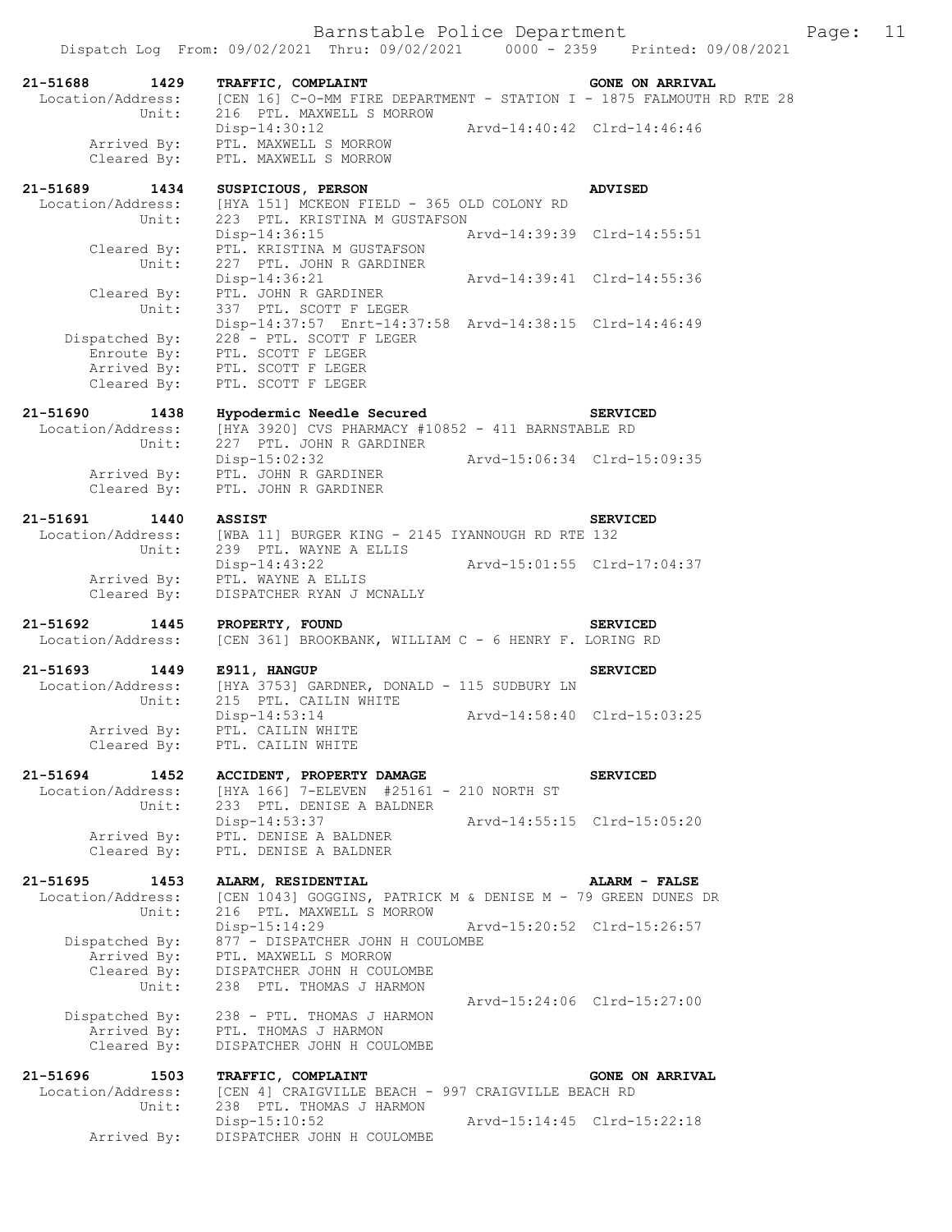|                      | Barnstable Police Department<br>Dispatch Log From: 09/02/2021 Thru: 09/02/2021 0000 - 2359 Printed: 09/08/2021                       |                             |                        | Paqe: | 11 |
|----------------------|--------------------------------------------------------------------------------------------------------------------------------------|-----------------------------|------------------------|-------|----|
| 21-51688<br>1429     | TRAFFIC, COMPLAINT                                                                                                                   |                             | <b>GONE ON ARRIVAL</b> |       |    |
|                      | Location/Address: [CEN 16] C-O-MM FIRE DEPARTMENT - STATION I - 1875 FALMOUTH RD RTE 28<br>Unit: 216 PTL. MAXWELL S MORROW           |                             |                        |       |    |
|                      | $Disp-14:30:12$<br>Arrived By: PTL. MAXWELL S MORROW                                                                                 | Arvd-14:40:42 Clrd-14:46:46 |                        |       |    |
|                      | Cleared By: PTL. MAXWELL S MORROW                                                                                                    |                             |                        |       |    |
| 21-51689             | 1434 SUSPICIOUS, PERSON                                                                                                              |                             | <b>ADVISED</b>         |       |    |
|                      | Location/Address: [HYA 151] MCKEON FIELD - 365 OLD COLONY RD<br>Unit: 223 PTL. KRISTINA M GUSTAFSON<br>223 PTL. KRISTINA M GUSTAFSON |                             |                        |       |    |
|                      | Disp-14:36:15                                                                                                                        | Arvd-14:39:39 Clrd-14:55:51 |                        |       |    |
|                      | Cleared By: PTL. KRISTINA M GUSTAFSON<br>Unit: 227 PTL. JOHN R GARDINER                                                              |                             |                        |       |    |
|                      |                                                                                                                                      |                             |                        |       |    |
|                      | Cleared By: PTL. JOHN R GARDINER<br>Unit: 337 PTL. SCOTT F LEGER                                                                     |                             |                        |       |    |
|                      | Disp-14:37:57 Enrt-14:37:58 Arvd-14:38:15 Clrd-14:46:49                                                                              |                             |                        |       |    |
|                      | Dispatched By: $228 - PTL$ . SCOTT F LEGER                                                                                           |                             |                        |       |    |
|                      | Enroute By: PTL. SCOTT F LEGER                                                                                                       |                             |                        |       |    |
|                      | Arrived By: PTL. SCOTT F LEGER<br>Cleared By: PTL. SCOTT F LEGER                                                                     |                             |                        |       |    |
|                      |                                                                                                                                      |                             |                        |       |    |
| $21 - 51690$         | 1438 Hypodermic Needle Secured SERVICED                                                                                              |                             |                        |       |    |
| Unit:                | Location/Address: [HYA 3920] CVS PHARMACY #10852 - 411 BARNSTABLE RD<br>227 PTL. JOHN R GARDINER                                     |                             |                        |       |    |
|                      | Disp-15:02:32 Arvd-15:06:34 Clrd-15:09:35                                                                                            |                             |                        |       |    |
|                      | Arrived By: PTL. JOHN R GARDINER                                                                                                     |                             |                        |       |    |
|                      | Cleared By: PTL. JOHN R GARDINER                                                                                                     |                             |                        |       |    |
| 21-51691 1440 ASSIST |                                                                                                                                      |                             | <b>SERVICED</b>        |       |    |
|                      | Location/Address: [WBA 11] BURGER KING - 2145 IYANNOUGH RD RTE 132<br>Unit: 239 PTL. WAYNE A ELLIS                                   |                             |                        |       |    |
|                      | $Disp-14:43:22$                                                                                                                      | Arvd-15:01:55 Clrd-17:04:37 |                        |       |    |
| Arrived By:          | PTL. WAYNE A ELLIS                                                                                                                   |                             |                        |       |    |

**21-51692 1445 PROPERTY, FOUND SERVICED**  Location/Address: [CEN 361] BROOKBANK, WILLIAM C - 6 HENRY F. LORING RD

Cleared By: DISPATCHER RYAN J MCNALLY

**21-51693 1449 E911, HANGUP SERVICED**  Location/Address: [HYA 3753] GARDNER, DONALD - 115 SUDBURY LN Unit: 215 PTL. CAILIN WHITE Disp-14:53:14 Arvd-14:58:40 Clrd-15:03:25 Arrived By: PTL. CAILIN WHITE Cleared By: PTL. CAILIN WHITE

**21-51694 1452 ACCIDENT, PROPERTY DAMAGE SERVICED**  Location/Address: [HYA 166] 7-ELEVEN #25161 - 210 NORTH ST Unit: 233 PTL. DENISE A BALDNER<br>Disp-14:53:37 Disp-14:53:37 Arvd-14:55:15 Clrd-15:05:20<br>Arrived By: PTL. DENISE A BALDNER PTL. DENISE A BALDNER Cleared By: PTL. DENISE A BALDNER

**21-51695 1453 ALARM, RESIDENTIAL ALARM - FALSE**  Location/Address: [CEN 1043] GOGGINS, PATRICK M & DENISE M - 79 GREEN DUNES DR Unit: 216 PTL. MAXWELL S MORROW Disp-15:14:29 Arvd-15:20:52 Clrd-15:26:57 Dispatched By: 877 - DISPATCHER JOHN H COULOMBE<br>Arrived By: PTL. MAXWELL S MORROW Arrived By: PTL. MAXWELL S MORROW<br>Cleared By: DISPATCHER JOHN H COU

DISPATCHER JOHN H COULOMBE Unit: 238 PTL. THOMAS J HARMON Arvd-15:24:06 Clrd-15:27:00 Dispatched By: 238 - PTL. THOMAS J HARMON<br>Arrived By: PTL. THOMAS J HARMON PTL. THOMAS J HARMON Cleared By: DISPATCHER JOHN H COULOMBE

**21-51696 1503 TRAFFIC, COMPLAINT GONE ON ARRIVAL**  Location/Address: [CEN 4] CRAIGVILLE BEACH - 997 CRAIGVILLE BEACH RD Unit: 238 PTL. THOMAS J HARMON<br>Disp-15:10:52 Arvd-15:14:45 Clrd-15:22:18 Arrived By: DISPATCHER JOHN H COULOMBE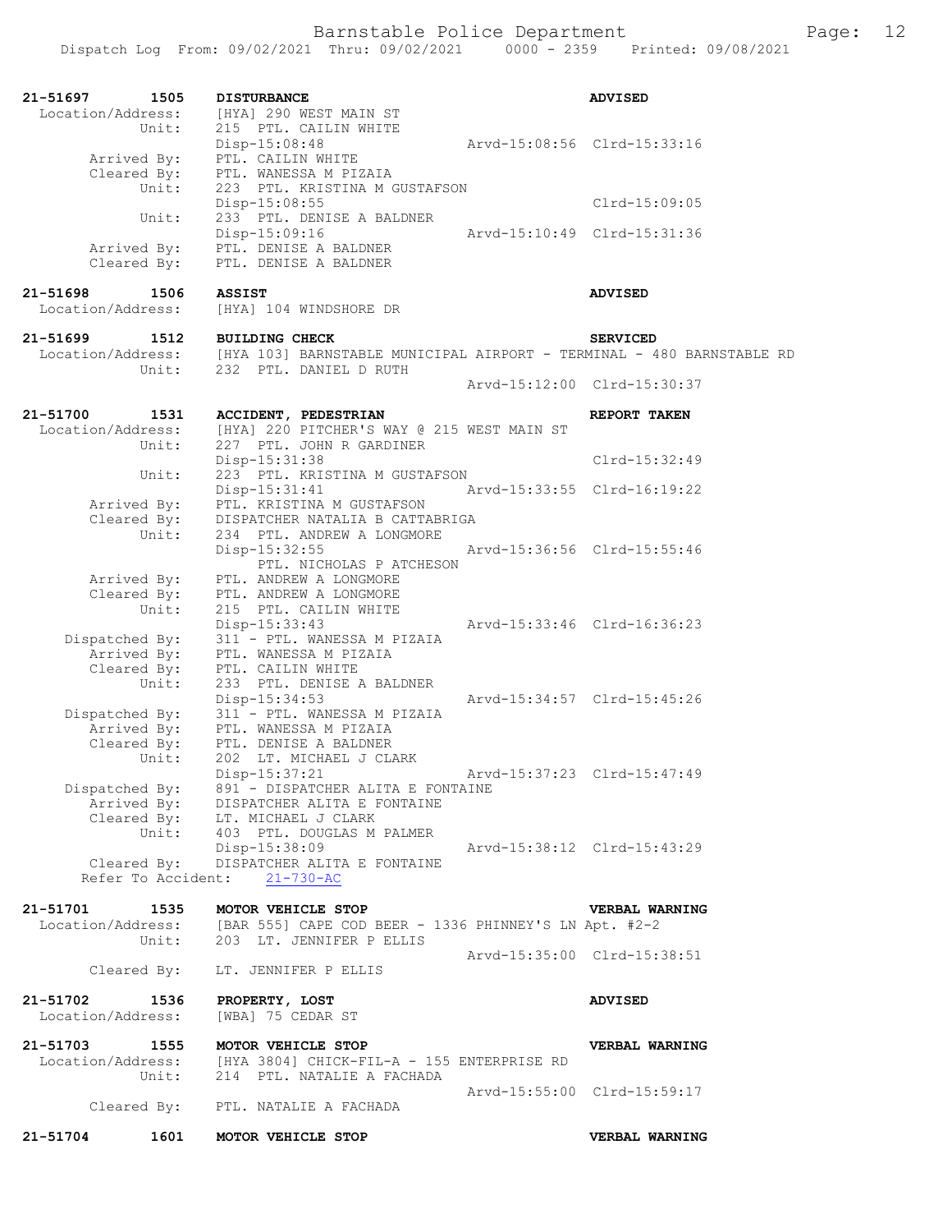| 21-51697<br>Location/Address:<br>Unit: | 1505<br><b>DISTURBANCE</b><br>[HYA] 290 WEST MAIN ST<br>215 PTL. CAILIN WHITE                                                      |                             | <b>ADVISED</b>              |
|----------------------------------------|------------------------------------------------------------------------------------------------------------------------------------|-----------------------------|-----------------------------|
| Arrived By:                            | Disp-15:08:48<br>PTL. CAILIN WHITE<br>Cleared By: PTL. WANESSA M PIZAIA                                                            | Arvd-15:08:56 Clrd-15:33:16 |                             |
|                                        | Unit:<br>223 PTL. KRISTINA M GUSTAFSON<br>Disp-15:08:55                                                                            |                             | Clrd-15:09:05               |
| Arrived By:<br>Cleared By:             | 233 PTL. DENISE A BALDNER<br>Unit:<br>Disp-15:09:16<br>PTL. DENISE A BALDNER<br>PTL. DENISE A BALDNER                              | Arvd-15:10:49 Clrd-15:31:36 |                             |
| 21-51698<br>Location/Address:          | 1506<br><b>ASSIST</b><br>[HYA] 104 WINDSHORE DR                                                                                    |                             | <b>ADVISED</b>              |
| 21-51699 1512                          | <b>BUILDING CHECK</b>                                                                                                              |                             | <b>SERVICED</b>             |
|                                        | Location/Address: [HYA 103] BARNSTABLE MUNICIPAL AIRPORT - TERMINAL - 480 BARNSTABLE RD<br>Unit:<br>232 PTL. DANIEL D RUTH         |                             |                             |
|                                        |                                                                                                                                    |                             | Arvd-15:12:00 Clrd-15:30:37 |
| 21-51700<br>Location/Address:          | 1531<br>ACCIDENT, PEDESTRIAN<br>[HYA] 220 PITCHER'S WAY @ 215 WEST MAIN ST                                                         |                             | REPORT TAKEN                |
| Unit:                                  | 227 PTL. JOHN R GARDINER<br>Disp-15:31:38                                                                                          |                             | Clrd-15:32:49               |
| Unit:                                  | 223 PTL. KRISTINA M GUSTAFSON<br>$Disp-15:31:41$                                                                                   | Arvd-15:33:55 Clrd-16:19:22 |                             |
| Arrived By:<br>Cleared By:             | PTL. KRISTINA M GUSTAFSON<br>DISPATCHER NATALIA B CATTABRIGA                                                                       |                             |                             |
| Unit:                                  | 234 PTL. ANDREW A LONGMORE<br>Disp-15:32:55                                                                                        | Arvd-15:36:56 Clrd-15:55:46 |                             |
| Arrived By:<br>Cleared By:             | PTL. NICHOLAS P ATCHESON<br>PTL. ANDREW A LONGMORE<br>PTL. ANDREW A LONGMORE<br>Unit:<br>215 PTL. CAILIN WHITE                     |                             |                             |
| Dispatched By:                         | Disp-15:33:43<br>311 - PTL. WANESSA M PIZAIA                                                                                       | Arvd-15:33:46 Clrd-16:36:23 |                             |
| Cleared By:                            | Arrived By: PTL. WANESSA M PIZAIA<br>PTL. CAILIN WHITE<br>Unit:<br>233 PTL. DENISE A BALDNER                                       |                             |                             |
| Dispatched By:                         | Disp-15:34:53<br>311 - PTL. WANESSA M PIZAIA<br>Arrived By: PTL. WANESSA M PIZAIA                                                  | Arvd-15:34:57 Clrd-15:45:26 |                             |
| Cleared By:<br>Unit:<br>Dispatched By: | PTL. DENISE A BALDNER<br>202 LT. MICHAEL J CLARK<br>Disp-15:37:21 Arvd-15:37:23 Clrd-15:47:49<br>891 - DISPATCHER ALITA E FONTAINE |                             |                             |
|                                        | Arrived By: DISPATCHER ALITA E FONTAINE<br>Cleared By: LT. MICHAEL J CLARK<br>Unit: 403 PTL. DOUGLAS M PALMER                      |                             |                             |
| Cleared By:                            | Disp-15:38:09<br>DISPATCHER ALITA E FONTAINE<br>Refer To Accident: 21-730-AC                                                       | Arvd-15:38:12 Clrd-15:43:29 |                             |
| 21-51701 1535                          | MOTOR VEHICLE STOP                                                                                                                 |                             | <b>VERBAL WARNING</b>       |
| Unit:                                  | Location/Address: [BAR 555] CAPE COD BEER - 1336 PHINNEY'S LN Apt. #2-2<br>203 LT. JENNIFER P ELLIS                                |                             |                             |
|                                        | Cleared By: LT. JENNIFER P ELLIS                                                                                                   |                             | Arvd-15:35:00 Clrd-15:38:51 |
| 21-51702 1536<br>Location/Address:     | PROPERTY, LOST<br>[WBA] 75 CEDAR ST                                                                                                |                             | <b>ADVISED</b>              |
| 21-51703<br>1555<br>Location/Address:  | MOTOR VEHICLE STOP<br>[HYA 3804] CHICK-FIL-A - 155 ENTERPRISE RD                                                                   |                             | VERBAL WARNING              |
|                                        | Unit: 214 PTL. NATALIE A FACHADA<br>Cleared By: PTL. NATALIE A FACHADA                                                             |                             | Arvd-15:55:00 Clrd-15:59:17 |
| 21-51704                               | 1601<br>MOTOR VEHICLE STOP                                                                                                         |                             | VERBAL WARNING              |
|                                        |                                                                                                                                    |                             |                             |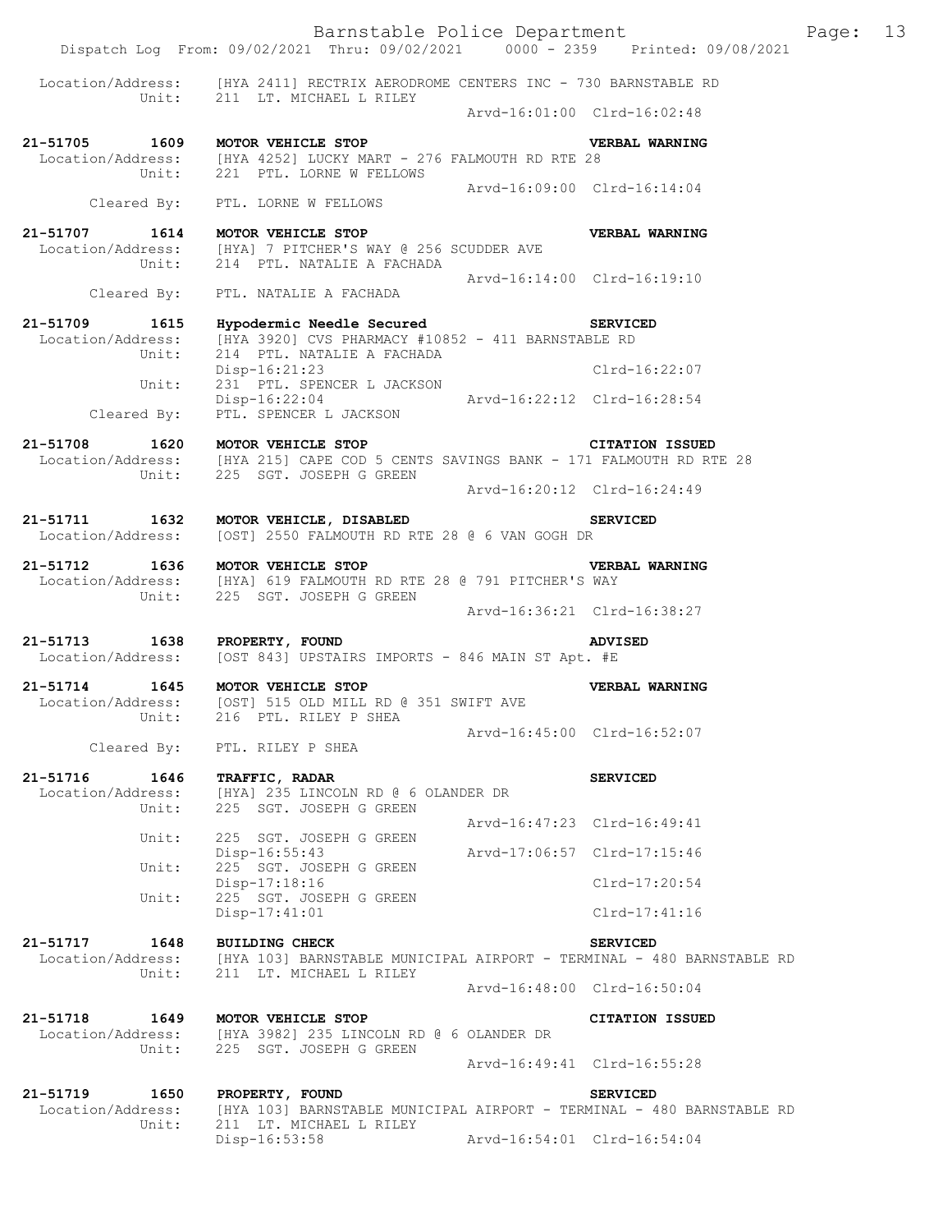|                                  | Barnstable Police Department<br>Dispatch Log From: 09/02/2021 Thru: 09/02/2021 0000 - 2359 Printed: 09/08/2021                                                                                              |                             |                             | Page: 13 |  |
|----------------------------------|-------------------------------------------------------------------------------------------------------------------------------------------------------------------------------------------------------------|-----------------------------|-----------------------------|----------|--|
|                                  | Location/Address: [HYA 2411] RECTRIX AERODROME CENTERS INC - 730 BARNSTABLE RD<br>Unit: 211 LT. MICHAEL L RILEY                                                                                             |                             |                             |          |  |
|                                  |                                                                                                                                                                                                             |                             | Arvd-16:01:00 Clrd-16:02:48 |          |  |
|                                  | 21-51705 1609 MOTOR VEHICLE STOP<br>Location/Address: [HYA 4252] LUCKY MART - 276 FALMOUTH RD RTE 28<br>Unit: 221 PTL. LORNE W FELLOWS                                                                      |                             | VERBAL WARNING              |          |  |
|                                  | Cleared By: PTL. LORNE W FELLOWS                                                                                                                                                                            | Arvd-16:09:00 Clrd-16:14:04 |                             |          |  |
| 21-51707 1614 MOTOR VEHICLE STOP | Location/Address: [HYA] 7 PITCHER'S WAY @ 256 SCUDDER AVE<br>Unit: 214 PTL. NATALIE A FACHADA                                                                                                               |                             | <b>VERBAL WARNING</b>       |          |  |
|                                  | Cleared By: PTL. NATALIE A FACHADA                                                                                                                                                                          | Arvd-16:14:00 Clrd-16:19:10 |                             |          |  |
|                                  | 21-51709 1615 Hypodermic Needle Secured SERVICED<br>Location/Address: [HYA 3920] CVS PHARMACY #10852 - 411 BARNSTABLE RD<br>Unit: 214 PTL. NATALIE A FACHADA<br>214 PTL. NATALIE A FACHADA<br>Disp-16:21:23 |                             | Clrd-16:22:07               |          |  |
| Unit:<br>Cleared By:             | 231 PTL. SPENCER L JACKSON<br>Disp-16:22:04 Arvd-16:22:12 Clrd-16:28:54<br>PTL. SPENCER L JACKSON                                                                                                           |                             |                             |          |  |
| 21-51708                         | 1620 MOTOR VEHICLE STOP<br>Location/Address: [HYA 215] CAPE COD 5 CENTS SAVINGS BANK - 171 FALMOUTH RD RTE 28<br>Unit: 225 SGT. JOSEPH G GREEN                                                              |                             | <b>CITATION ISSUED</b>      |          |  |
|                                  |                                                                                                                                                                                                             | Arvd-16:20:12 Clrd-16:24:49 |                             |          |  |
|                                  | 21-51711 1632 MOTOR VEHICLE, DISABLED<br>Location/Address: [OST] 2550 FALMOUTH RD RTE 28 @ 6 VAN GOGH DR                                                                                                    |                             | <b>SERVICED</b>             |          |  |
|                                  | 21-51712 1636 MOTOR VEHICLE STOP<br>Location/Address: [HYA] 619 FALMOUTH RD RTE 28 @ 791 PITCHER'S WAY<br>Unit: 225 SGT. JOSEPH G GREEN                                                                     | Arvd-16:36:21 Clrd-16:38:27 | <b>VERBAL WARNING</b>       |          |  |
| 21-51713 1638 PROPERTY, FOUND    | Location/Address: [OST 843] UPSTAIRS IMPORTS - 846 MAIN ST Apt. #E                                                                                                                                          |                             | <b>ADVISED</b>              |          |  |
| 21-51714<br>Location/Address:    | 1645 MOTOR VEHICLE STOP<br>[OST] 515 OLD MILL RD @ 351 SWIFT AVE<br>Unit: 216 PTL. RILEY P SHEA                                                                                                             |                             | <b>VERBAL WARNING</b>       |          |  |
|                                  | Cleared By: PTL. RILEY P SHEA                                                                                                                                                                               | Arvd-16:45:00 Clrd-16:52:07 |                             |          |  |
| 21-51716 1646 TRAFFIC, RADAR     | Location/Address: [HYA] 235 LINCOLN RD @ 6 OLANDER DR                                                                                                                                                       |                             | <b>SERVICED</b>             |          |  |
| Unit:<br>Unit:                   | 225 SGT. JOSEPH G GREEN<br>225 SGT. JOSEPH G GREEN                                                                                                                                                          |                             | Arvd-16:47:23 Clrd-16:49:41 |          |  |
| Unit:                            | Disp-16:55:43<br>225 SGT. JOSEPH G GREEN                                                                                                                                                                    | Arvd-17:06:57 Clrd-17:15:46 |                             |          |  |
| Unit:                            | Disp-17:18:16<br>225 SGT. JOSEPH G GREEN                                                                                                                                                                    |                             | Clrd-17:20:54               |          |  |
|                                  | $Disp-17:41:01$                                                                                                                                                                                             |                             | Clrd-17:41:16               |          |  |
| 21-51717<br>1648<br>Unit:        | <b>BUILDING CHECK</b><br>Location/Address: [HYA 103] BARNSTABLE MUNICIPAL AIRPORT - TERMINAL - 480 BARNSTABLE RD<br>211 LT. MICHAEL L RILEY                                                                 |                             | <b>SERVICED</b>             |          |  |
|                                  |                                                                                                                                                                                                             |                             | Arvd-16:48:00 Clrd-16:50:04 |          |  |
| 21-51718<br>Unit:                | 1649 MOTOR VEHICLE STOP<br>Location/Address: [HYA 3982] 235 LINCOLN RD @ 6 OLANDER DR<br>225 SGT. JOSEPH G GREEN                                                                                            |                             | <b>CITATION ISSUED</b>      |          |  |
|                                  |                                                                                                                                                                                                             | Arvd-16:49:41 Clrd-16:55:28 |                             |          |  |
|                                  | Location/Address: [HYA 103] BARNSTABLE MUNICIPAL AIRPORT - TERMINAL - 480 BARNSTABLE RD                                                                                                                     |                             | <b>SERVICED</b>             |          |  |
| Unit:                            | 211 LT. MICHAEL L RILEY<br>Disp-16:53:58                                                                                                                                                                    |                             |                             |          |  |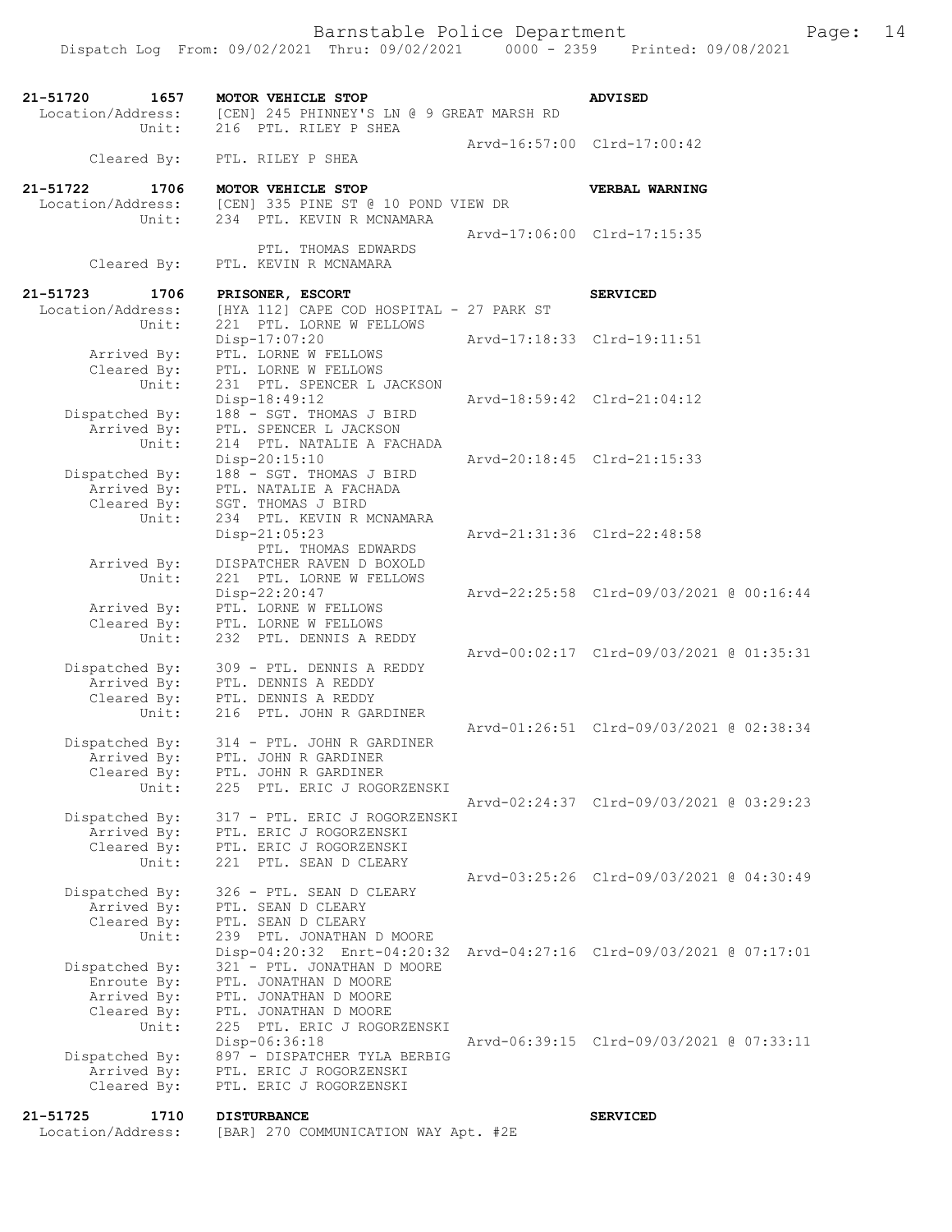| 21-51720          | 1657                       | MOTOR VEHICLE STOP<br>Location/Address: [CEN] 245 PHINNEY'S LN @ 9 GREAT MARSH RD                   | <b>ADVISED</b>                           |  |
|-------------------|----------------------------|-----------------------------------------------------------------------------------------------------|------------------------------------------|--|
|                   | Unit:                      | 216 PTL. RILEY P SHEA                                                                               |                                          |  |
|                   | Cleared By:                | PTL. RILEY P SHEA                                                                                   | Arvd-16:57:00 Clrd-17:00:42              |  |
|                   |                            |                                                                                                     |                                          |  |
| 21-51722          | 1706                       | MOTOR VEHICLE STOP                                                                                  | VERBAL WARNING                           |  |
|                   | Unit:                      | Location/Address: [CEN] 335 PINE ST @ 10 POND VIEW DR<br>234 PTL. KEVIN R MCNAMARA                  |                                          |  |
|                   |                            |                                                                                                     | Arvd-17:06:00 Clrd-17:15:35              |  |
|                   |                            | PTL. THOMAS EDWARDS                                                                                 |                                          |  |
|                   | Cleared By:                | PTL. KEVIN R MCNAMARA                                                                               |                                          |  |
| 21-51723          | 1706                       | PRISONER, ESCORT                                                                                    | <b>SERVICED</b>                          |  |
| Location/Address: |                            | [HYA 112] CAPE COD HOSPITAL - 27 PARK ST                                                            |                                          |  |
|                   | Unit:                      | 221 PTL. LORNE W FELLOWS                                                                            |                                          |  |
|                   |                            | Disp-17:07:20                                                                                       | Arvd-17:18:33 Clrd-19:11:51              |  |
|                   | Arrived By:<br>Cleared By: | PTL. LORNE W FELLOWS<br>PTL. LORNE W FELLOWS                                                        |                                          |  |
|                   | Unit:                      | 231 PTL. SPENCER L JACKSON                                                                          |                                          |  |
|                   |                            | Disp-18:49:12                                                                                       | Arvd-18:59:42 Clrd-21:04:12              |  |
| Dispatched By:    |                            | 188 - SGT. THOMAS J BIRD                                                                            |                                          |  |
|                   | Arrived By:                | PTL. SPENCER L JACKSON                                                                              |                                          |  |
|                   | Unit:                      | 214 PTL. NATALIE A FACHADA<br>$Disp-20:15:10$                                                       | Arvd-20:18:45 Clrd-21:15:33              |  |
| Dispatched By:    |                            | 188 - SGT. THOMAS J BIRD                                                                            |                                          |  |
|                   | Arrived By:                | PTL. NATALIE A FACHADA                                                                              |                                          |  |
|                   | Cleared By:                | SGT. THOMAS J BIRD                                                                                  |                                          |  |
|                   | Unit:                      | 234 PTL. KEVIN R MCNAMARA                                                                           |                                          |  |
|                   |                            | $Disp-21:05:23$<br>PTL. THOMAS EDWARDS                                                              | Arvd-21:31:36 Clrd-22:48:58              |  |
|                   | Arrived By:                | DISPATCHER RAVEN D BOXOLD                                                                           |                                          |  |
|                   | Unit:                      | 221 PTL. LORNE W FELLOWS                                                                            |                                          |  |
|                   |                            | Disp-22:20:47                                                                                       | Arvd-22:25:58 Clrd-09/03/2021 @ 00:16:44 |  |
|                   | Arrived By:                | PTL. LORNE W FELLOWS<br>PTL. LORNE W FELLOWS                                                        |                                          |  |
|                   | Cleared By:<br>Unit:       | 232 PTL. DENNIS A REDDY                                                                             |                                          |  |
|                   |                            |                                                                                                     | Arvd-00:02:17 Clrd-09/03/2021 @ 01:35:31 |  |
| Dispatched By:    |                            | 309 - PTL. DENNIS A REDDY                                                                           |                                          |  |
|                   |                            | Arrived By: PTL. DENNIS A REDDY<br>Cleared By: PTL. DENNIS A REDDY                                  |                                          |  |
|                   | Unit:                      | 216 PTL. JOHN R GARDINER                                                                            |                                          |  |
|                   |                            |                                                                                                     | Arvd-01:26:51 Clrd-09/03/2021 @ 02:38:34 |  |
| Dispatched By:    |                            | 314 - PTL. JOHN R GARDINER                                                                          |                                          |  |
|                   | Arrived By:                | PTL. JOHN R GARDINER                                                                                |                                          |  |
|                   | Cleared By:<br>Unit:       | PTL. JOHN R GARDINER<br>225<br>PTL. ERIC J ROGORZENSKI                                              |                                          |  |
|                   |                            |                                                                                                     | Arvd-02:24:37 Clrd-09/03/2021 @ 03:29:23 |  |
| Dispatched By:    |                            | 317 - PTL. ERIC J ROGORZENSKI                                                                       |                                          |  |
|                   | Arrived By:                | PTL. ERIC J ROGORZENSKI                                                                             |                                          |  |
|                   | Cleared By:                | PTL. ERIC J ROGORZENSKI                                                                             |                                          |  |
|                   | Unit:                      | 221<br>PTL. SEAN D CLEARY                                                                           | Arvd-03:25:26 Clrd-09/03/2021 @ 04:30:49 |  |
| Dispatched By:    |                            | 326 - PTL. SEAN D CLEARY                                                                            |                                          |  |
|                   | Arrived By:                | PTL. SEAN D CLEARY                                                                                  |                                          |  |
|                   | Cleared By:                | PTL. SEAN D CLEARY                                                                                  |                                          |  |
|                   | Unit:                      | 239 PTL. JONATHAN D MOORE                                                                           |                                          |  |
| Dispatched By:    |                            | Disp-04:20:32 Enrt-04:20:32 Arvd-04:27:16 Clrd-09/03/2021 @ 07:17:01<br>321 - PTL. JONATHAN D MOORE |                                          |  |
|                   | Enroute By:                | PTL. JONATHAN D MOORE                                                                               |                                          |  |
|                   | Arrived By:                | PTL. JONATHAN D MOORE                                                                               |                                          |  |
|                   | Cleared By:                | PTL. JONATHAN D MOORE                                                                               |                                          |  |
|                   | Unit:                      | 225 PTL. ERIC J ROGORZENSKI<br>Disp-06:36:18                                                        | Arvd-06:39:15 Clrd-09/03/2021 @ 07:33:11 |  |
| Dispatched By:    |                            | 897 - DISPATCHER TYLA BERBIG                                                                        |                                          |  |
|                   | Arrived By:                | PTL. ERIC J ROGORZENSKI                                                                             |                                          |  |
|                   | Cleared By:                | PTL. ERIC J ROGORZENSKI                                                                             |                                          |  |
|                   |                            |                                                                                                     |                                          |  |
| 21-51725          | 1710                       | <b>DISTURBANCE</b>                                                                                  | <b>SERVICED</b>                          |  |

Location/Address: [BAR] 270 COMMUNICATION WAY Apt. #2E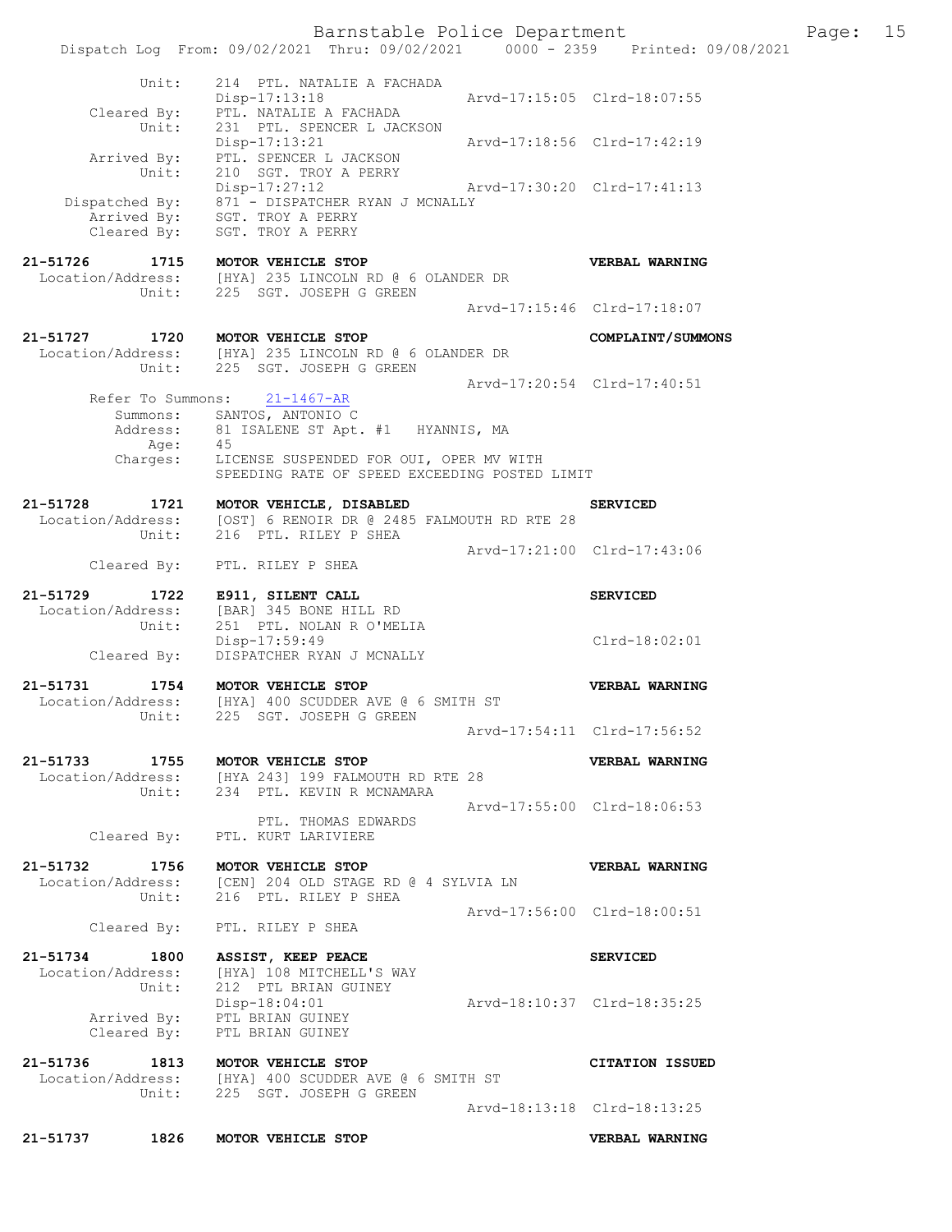Dispatch Log From: 09/02/2021 Thru: 09/02/2021 0000 - 2359 Printed: 09/08/2021 Unit: 214 PTL. NATALIE A FACHADA Disp-17:13:18 Arvd-17:15:05 Clrd-18:07:55 Cleared By: PTL. NATALIE A FACHADA Unit: 231 PTL. SPENCER L JACKSON Disp-17:13:21 Arvd-17:18:56 Clrd-17:42:19 Arrived By: PTL. SPENCER L JACKSON Unit: 210 SGT. TROY A PERRY Disp-17:27:12 Arvd-17:30:20 Clrd-17:41:13 Dispatched By: 871 - DISPATCHER RYAN J MCNALLY Arrived By: SGT. TROY A PERRY Cleared By: SGT. TROY A PERRY **21-51726 1715 MOTOR VEHICLE STOP VERBAL WARNING**  Location/Address: [HYA] 235 LINCOLN RD @ 6 OLANDER DR Unit: 225 SGT. JOSEPH G GREEN Arvd-17:15:46 Clrd-17:18:07 **21-51727 1720 MOTOR VEHICLE STOP COMPLAINT/SUMMONS**  Location/Address: [HYA] 235 LINCOLN RD @ 6 OLANDER DR Unit: 225 SGT. JOSEPH G GREEN Arvd-17:20:54 Clrd-17:40:51 Refer To Summons: 21-1467-AR Summons: SANTOS, ANTONIO C Address: 81 ISALENE ST Apt. #1 HYANNIS, MA<br>Age: 45 Age: Charges: LICENSE SUSPENDED FOR OUI, OPER MV WITH SPEEDING RATE OF SPEED EXCEEDING POSTED LIMIT **21-51728 1721 MOTOR VEHICLE, DISABLED SERVICED**  Location/Address: [OST] 6 RENOIR DR @ 2485 FALMOUTH RD RTE 28 Unit: 216 PTL. RILEY P SHEA Arvd-17:21:00 Clrd-17:43:06 Cleared By: PTL. RILEY P SHEA **21-51729 1722 E911, SILENT CALL SERVICED**  Location/Address: [BAR] 345 BONE HILL RD Unit: 251 PTL. NOLAN R O'MELIA Disp-17:59:49 Clrd-18:02:01 Cleared By: DISPATCHER RYAN J MCNALLY **21-51731 1754 MOTOR VEHICLE STOP VERBAL WARNING**  Location/Address: [HYA] 400 SCUDDER AVE @ 6 SMITH ST Unit: 225 SGT. JOSEPH G GREEN Arvd-17:54:11 Clrd-17:56:52 **21-51733 1755 MOTOR VEHICLE STOP VERBAL WARNING**  Location/Address: [HYA 243] 199 FALMOUTH RD RTE 28 Unit: 234 PTL. KEVIN R MCNAMARA Arvd-17:55:00 Clrd-18:06:53 PTL. THOMAS EDWARDS Cleared By: PTL. KURT LARIVIERE **21-51732 1756 MOTOR VEHICLE STOP VERBAL WARNING**  Location/Address: [CEN] 204 OLD STAGE RD @ 4 SYLVIA LN Unit: 216 PTL. RILEY P SHEA Arvd-17:56:00 Clrd-18:00:51 Cleared By: PTL. RILEY P SHEA **21-51734 1800 ASSIST, KEEP PEACE SERVICED**  Location/Address: [HYA] 108 MITCHELL'S WAY Unit: 212 PTL BRIAN GUINEY Disp-18:04:01 Arvd-18:10:37 Clrd-18:35:25 Arrived By: PTL BRIAN GUINEY Cleared By: PTL BRIAN GUINEY **21-51736 1813 MOTOR VEHICLE STOP CITATION ISSUED**  Location/Address: [HYA] 400 SCUDDER AVE @ 6 SMITH ST<br>Unit: 225 SGT. JOSEPH G GREEN 225 SGT. JOSEPH G GREEN Arvd-18:13:18 Clrd-18:13:25 **21-51737 1826 MOTOR VEHICLE STOP VERBAL WARNING** 

Barnstable Police Department Fage: 15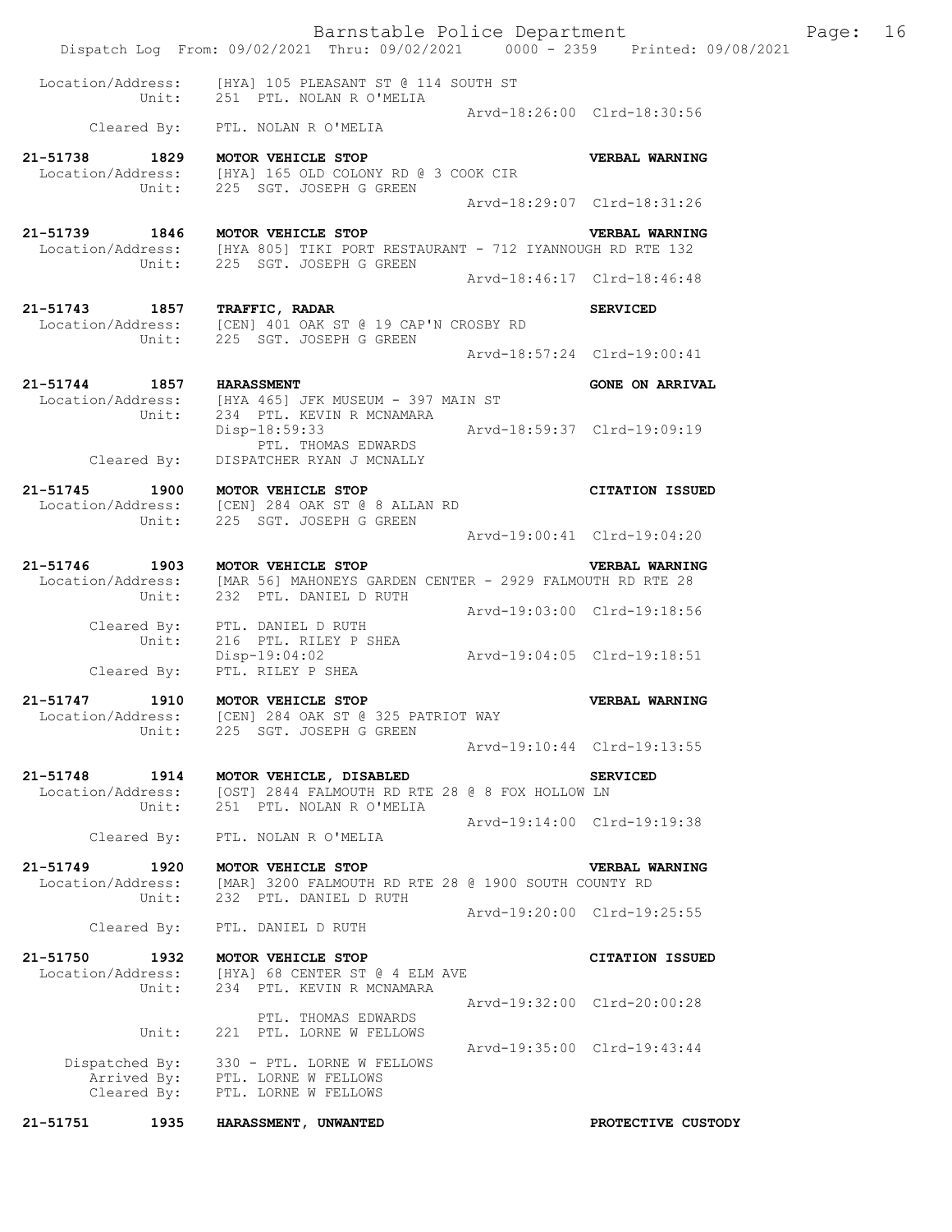|                                                | Barnstable Police Department<br>Dispatch Log From: 09/02/2021 Thru: 09/02/2021 0000 - 2359 Printed: 09/08/2021                                                                                                                                                       |                                           |                             | Page: 16 |  |
|------------------------------------------------|----------------------------------------------------------------------------------------------------------------------------------------------------------------------------------------------------------------------------------------------------------------------|-------------------------------------------|-----------------------------|----------|--|
|                                                | $\texttt{Location/Address:} \qquad \texttt{[HYA]} \; \; \texttt{105 PLEASANT} \; \; \texttt{ST} \; \; \texttt{0} \; \; \texttt{114} \; \; \texttt{SOUTH} \; \; \texttt{ST} \qquad \texttt{251} \quad \; \texttt{PTL. NOLAN} \; \; \texttt{R} \; \; \texttt{0'MELIA}$ |                                           |                             |          |  |
|                                                | Cleared By: PTL. NOLAN R O'MELIA                                                                                                                                                                                                                                     | Arvd-18:26:00 Clrd-18:30:56               |                             |          |  |
| 21-51738 1829 MOTOR VEHICLE STOP               | Location/Address: [HYA] 165 OLD COLONY RD @ 3 COOK CIR<br>Unit: 225 SGT. JOSEPH G GREEN                                                                                                                                                                              |                                           | <b>VERBAL WARNING</b>       |          |  |
|                                                |                                                                                                                                                                                                                                                                      | Aryd-18:29:07 Clrd-18:31:26               |                             |          |  |
|                                                | 21-51739 1846 MOTOR VEHICLE STOP<br>Location/Address: [HYA 805] TIKI PORT RESTAURANT - 712 IYANNOUGH RD RTE 132<br>Unit: 225 SGT. JOSEPH G GREEN                                                                                                                     |                                           | VERBAL WARNING              |          |  |
|                                                |                                                                                                                                                                                                                                                                      | Arvd-18:46:17 Clrd-18:46:48               |                             |          |  |
| 21-51743 1857 TRAFFIC, RADAR                   | Location/Address: [CEN] 401 OAK ST @ 19 CAP'N CROSBY RD<br>Unit: 225 SGT. JOSEPH G GREEN                                                                                                                                                                             |                                           | <b>SERVICED</b>             |          |  |
|                                                |                                                                                                                                                                                                                                                                      | Arvd-18:57:24 Clrd-19:00:41               |                             |          |  |
| 21-51744 1857 HARASSMENT                       | Location/Address: [HYA 465] JFK MUSEUM - 397 MAIN ST<br>Unit: 234 PTL. KEVIN R MCNAMARA                                                                                                                                                                              |                                           | <b>GONE ON ARRIVAL</b>      |          |  |
|                                                | Disp-18:59:33 Arvd-18:59:37 Clrd-19:09:19<br>PTL. THOMAS EDWARDS<br>Cleared By: DISPATCHER RYAN J MCNALLY                                                                                                                                                            |                                           |                             |          |  |
| 21-51745 1900 MOTOR VEHICLE STOP               |                                                                                                                                                                                                                                                                      |                                           |                             |          |  |
|                                                | Location/Address: [CEN] 284 OAK ST @ 8 ALLAN RD<br>Unit: 225 SGT. JOSEPH G GREEN                                                                                                                                                                                     |                                           | <b>CITATION ISSUED</b>      |          |  |
|                                                |                                                                                                                                                                                                                                                                      | Arvd-19:00:41 Clrd-19:04:20               |                             |          |  |
|                                                | 21-51746 1903 MOTOR VEHICLE STOP<br>Location/Address: [MAR 56] MAHONEYS GARDEN CENTER - 2929 FALMOUTH RD RTE 28<br>Unit: 232 PTL. DANIEL D RUTH                                                                                                                      |                                           | VERBAL WARNING              |          |  |
|                                                | Cleared By: PTL. DANIEL D RUTH                                                                                                                                                                                                                                       | Arvd-19:03:00 Clrd-19:18:56               |                             |          |  |
|                                                | Unit: 216 PTL. RILEY P SHEA<br>Disp-19:04:02<br>Cleared By: PTL. RILEY P SHEA                                                                                                                                                                                        | - - ------<br>Arvd-19:04:05 Clrd-19:18:51 |                             |          |  |
| 21-51747 1910                                  | MOTOR VEHICLE STOP                                                                                                                                                                                                                                                   |                                           | VERBAL WARNING              |          |  |
| Unit:                                          | Location/Address: [CEN] 284 OAK ST @ 325 PATRIOT WAY<br>225 SGT. JOSEPH G GREEN                                                                                                                                                                                      |                                           |                             |          |  |
|                                                |                                                                                                                                                                                                                                                                      |                                           | Arvd-19:10:44 Clrd-19:13:55 |          |  |
| 21-51748<br>1914<br>Location/Address:<br>Unit: | MOTOR VEHICLE, DISABLED<br>[OST] 2844 FALMOUTH RD RTE 28 @ 8 FOX HOLLOW LN<br>251 PTL. NOLAN R O'MELIA                                                                                                                                                               |                                           | <b>SERVICED</b>             |          |  |
|                                                | Cleared By: PTL. NOLAN R O'MELIA                                                                                                                                                                                                                                     |                                           | Arvd-19:14:00 Clrd-19:19:38 |          |  |
| 21-51749<br>Unit:                              | 1920 MOTOR VEHICLE STOP<br>Location/Address: [MAR] 3200 FALMOUTH RD RTE 28 @ 1900 SOUTH COUNTY RD<br>232 PTL. DANIEL D RUTH                                                                                                                                          |                                           | <b>VERBAL WARNING</b>       |          |  |
|                                                | Cleared By: PTL. DANIEL D RUTH                                                                                                                                                                                                                                       |                                           | Arvd-19:20:00 Clrd-19:25:55 |          |  |
| 21-51750                                       | 1932 MOTOR VEHICLE STOP                                                                                                                                                                                                                                              |                                           | <b>CITATION ISSUED</b>      |          |  |
| Unit:                                          | Location/Address: [HYA] 68 CENTER ST @ 4 ELM AVE<br>234 PTL. KEVIN R MCNAMARA                                                                                                                                                                                        |                                           | Arvd-19:32:00 Clrd-20:00:28 |          |  |
| Unit:                                          | PTL. THOMAS EDWARDS<br>221 PTL. LORNE W FELLOWS                                                                                                                                                                                                                      |                                           |                             |          |  |
|                                                | Dispatched By: 330 - PTL. LORNE W FELLOWS<br>Arrived By: PTL. LORNE W FELLOWS<br>Cleared By: PTL. LORNE W FELLOWS                                                                                                                                                    | Arvd-19:35:00 Clrd-19:43:44               |                             |          |  |
| 21-51751<br>1935                               | HARASSMENT, UNWANTED                                                                                                                                                                                                                                                 |                                           | PROTECTIVE CUSTODY          |          |  |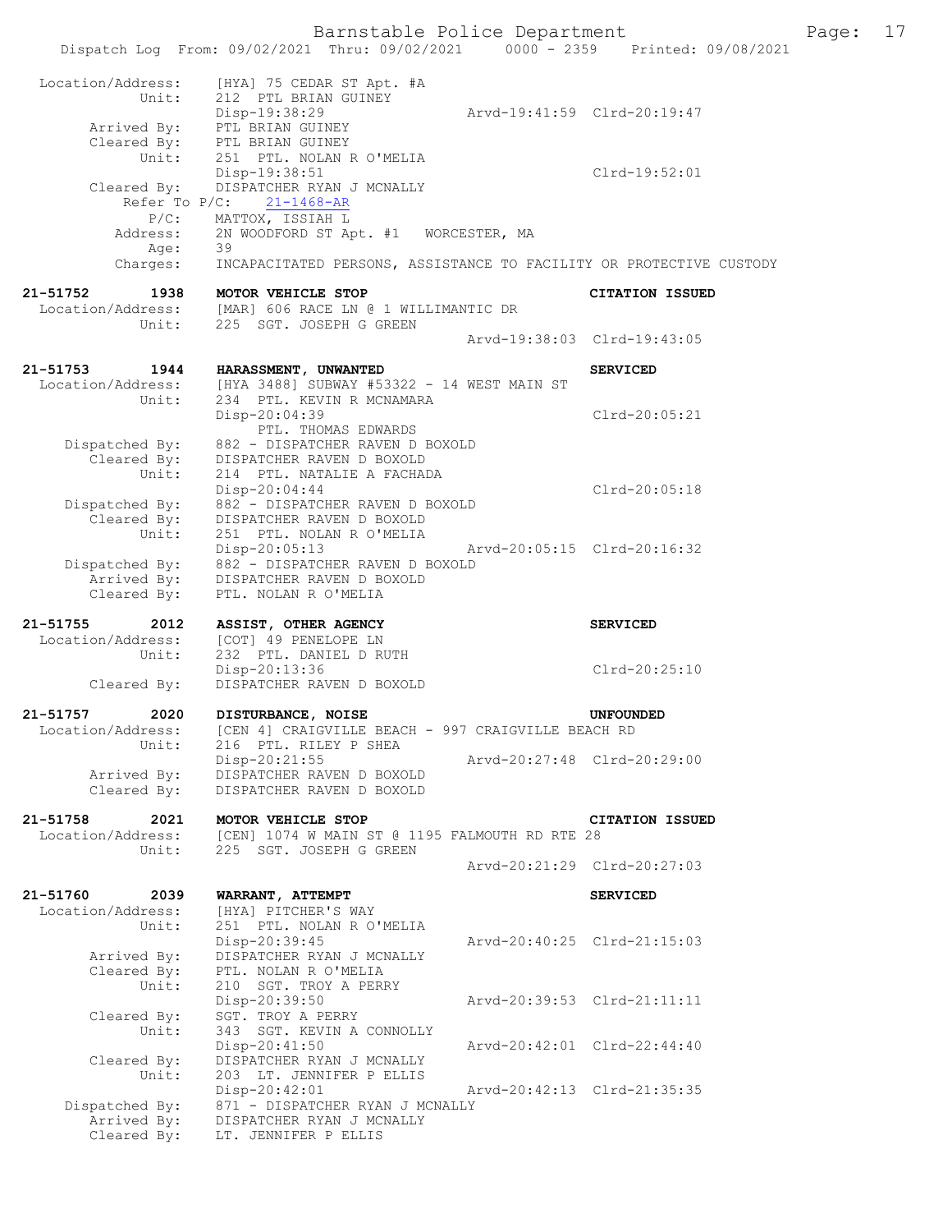Barnstable Police Department Fage: 17

|                                           | $50.2115$ can $20.215$ can be part chicago<br>Dispatch Log From: 09/02/2021 Thru: 09/02/2021 0000 - 2359 Printed: 09/08/2021 |                             |                             | $-29$ |
|-------------------------------------------|------------------------------------------------------------------------------------------------------------------------------|-----------------------------|-----------------------------|-------|
|                                           | Location/Address: [HYA] 75 CEDAR ST Apt. #A                                                                                  |                             |                             |       |
| Unit:                                     | 212 PTL BRIAN GUINEY                                                                                                         |                             |                             |       |
|                                           | Disp-19:38:29                                                                                                                | Arvd-19:41:59 Clrd-20:19:47 |                             |       |
|                                           |                                                                                                                              |                             |                             |       |
|                                           | Arrived By: PTL BRIAN GUINEY<br>Cleared By: PTL BRIAN GUINEY<br>Unit: 251 PTL. NOLAN R O'MELIA<br>Disp-19:38:51              |                             |                             |       |
|                                           | Cleared By: DISPATCHER RYAN J MCNALLY                                                                                        |                             | $Clrd-19:52:01$             |       |
|                                           | Refer To $P/C$ : 21-1468-AR                                                                                                  |                             |                             |       |
|                                           | P/C: MATTOX, ISSIAH L                                                                                                        |                             |                             |       |
|                                           | Address: 2N WOODFORD ST Apt. #1 WORCESTER, MA<br>Age: 39                                                                     |                             |                             |       |
| Charges:                                  | INCAPACITATED PERSONS, ASSISTANCE TO FACILITY OR PROTECTIVE CUSTODY                                                          |                             |                             |       |
|                                           |                                                                                                                              |                             |                             |       |
| 21-51752                                  | 1938 MOTOR VEHICLE STOP<br>Location/Address: [MAR] 606 RACE LN @ 1 WILLIMANTIC DR                                            |                             | <b>CITATION ISSUED</b>      |       |
| Unit:                                     | 225 SGT. JOSEPH G GREEN                                                                                                      |                             |                             |       |
|                                           |                                                                                                                              |                             | Arvd-19:38:03 Clrd-19:43:05 |       |
| 21-51753 1944                             | HARASSMENT, UNWANTED                                                                                                         |                             | <b>SERVICED</b>             |       |
|                                           | Location/Address: [HYA 3488] SUBWAY #53322 - 14 WEST MAIN ST                                                                 |                             |                             |       |
| Unit:                                     | 234 PTL. KEVIN R MCNAMARA                                                                                                    |                             |                             |       |
|                                           | Disp-20:04:39<br>PTL. THOMAS EDWARDS                                                                                         |                             | $Clrd-20:05:21$             |       |
|                                           | Dispatched By: 882 - DISPATCHER RAVEN D BOXOLD                                                                               |                             |                             |       |
|                                           | Cleared By: DISPATCHER RAVEN D BOXOLD                                                                                        |                             |                             |       |
| Unit:                                     | 214 PTL. NATALIE A FACHADA<br>Disp-20:04:44                                                                                  |                             | Clrd-20:05:18               |       |
|                                           |                                                                                                                              |                             |                             |       |
|                                           | Dispatched By: 882 - DISPATCHER RAVEN D BOXOLD<br>Cleared By: DISPATCHER RAVEN D BOXOLD                                      |                             |                             |       |
|                                           | Unit: 251 PTL. NOLAN R O'MELIA                                                                                               | Arvd-20:05:15 Clrd-20:16:32 |                             |       |
|                                           | Disp-20:05:13<br>Dispatched By: 882 - DISPATCHER RAVEN D BOXOLD                                                              |                             |                             |       |
|                                           | Arrived By: DISPATCHER RAVEN D BOXOLD                                                                                        |                             |                             |       |
|                                           | Cleared By: PTL. NOLAN R O'MELIA                                                                                             |                             |                             |       |
| 21-51755<br>2012                          | <b>ASSIST, OTHER AGENCY</b>                                                                                                  |                             | <b>SERVICED</b>             |       |
|                                           | Location/Address: [COT] 49 PENELOPE LN                                                                                       |                             |                             |       |
| Unit:                                     | 232 PTL. DANIEL D RUTH<br>Disp-20:13:36                                                                                      |                             | Clrd-20:25:10               |       |
| Cleared By:                               | DISPATCHER RAVEN D BOXOLD                                                                                                    |                             |                             |       |
| 21-51757<br>2020                          | DISTURBANCE, NOISE                                                                                                           |                             | <b>UNFOUNDED</b>            |       |
| Location/Address:                         | [CEN 4] CRAIGVILLE BEACH - 997 CRAIGVILLE BEACH RD                                                                           |                             |                             |       |
| Unit:                                     | 216 PTL. RILEY P SHEA                                                                                                        |                             |                             |       |
| Arrived By:                               | Disp-20:21:55<br>DISPATCHER RAVEN D BOXOLD                                                                                   |                             | Arvd-20:27:48 Clrd-20:29:00 |       |
| Cleared By:                               | DISPATCHER RAVEN D BOXOLD                                                                                                    |                             |                             |       |
|                                           |                                                                                                                              |                             |                             |       |
| $21 - 51758$<br>2021<br>Location/Address: | MOTOR VEHICLE STOP<br>[CEN] 1074 W MAIN ST @ 1195 FALMOUTH RD RTE 28                                                         |                             | <b>CITATION ISSUED</b>      |       |
| Unit:                                     | 225 SGT. JOSEPH G GREEN                                                                                                      |                             |                             |       |
|                                           |                                                                                                                              |                             | Arvd-20:21:29 Clrd-20:27:03 |       |
| 21-51760<br>2039                          | WARRANT, ATTEMPT                                                                                                             |                             | <b>SERVICED</b>             |       |
| Location/Address:                         | [HYA] PITCHER'S WAY                                                                                                          |                             |                             |       |
| Unit:                                     | 251 PTL. NOLAN R O'MELIA                                                                                                     |                             |                             |       |
| Arrived By:                               | Disp-20:39:45<br>DISPATCHER RYAN J MCNALLY                                                                                   |                             | Arvd-20:40:25 Clrd-21:15:03 |       |
| Cleared By:                               | PTL. NOLAN R O'MELIA                                                                                                         |                             |                             |       |
| Unit:                                     | 210 SGT. TROY A PERRY                                                                                                        |                             |                             |       |
| Cleared By:                               | Disp-20:39:50<br>SGT. TROY A PERRY                                                                                           |                             | Arvd-20:39:53 Clrd-21:11:11 |       |
| Unit:                                     | 343 SGT. KEVIN A CONNOLLY                                                                                                    |                             |                             |       |
|                                           | Disp-20:41:50                                                                                                                |                             | Arvd-20:42:01 Clrd-22:44:40 |       |
| Cleared By:<br>Unit:                      | DISPATCHER RYAN J MCNALLY<br>203 LT. JENNIFER P ELLIS                                                                        |                             |                             |       |
|                                           | Disp-20:42:01                                                                                                                |                             | Arvd-20:42:13 Clrd-21:35:35 |       |
| Dispatched By:                            | 871 - DISPATCHER RYAN J MCNALLY                                                                                              |                             |                             |       |
| Arrived By:<br>Cleared By:                | DISPATCHER RYAN J MCNALLY                                                                                                    |                             |                             |       |
|                                           | LT. JENNIFER P ELLIS                                                                                                         |                             |                             |       |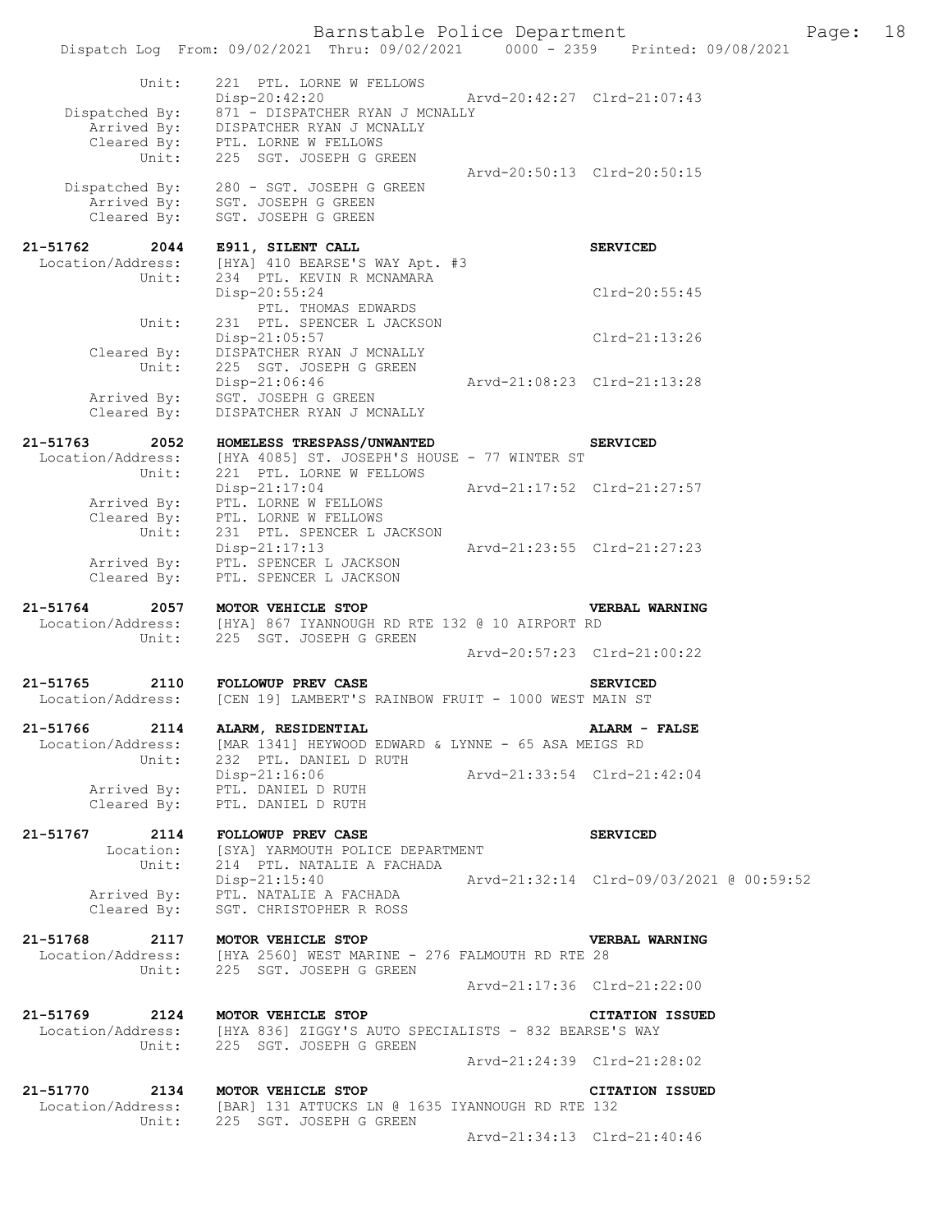Barnstable Police Department Fage: 18 Dispatch Log From: 09/02/2021 Thru: 09/02/2021 0000 - 2359 Printed: 09/08/2021 Unit: 221 PTL. LORNE W FELLOWS Disp-20:42:20 Arvd-20:42:27 Clrd-21:07:43 Dispatched By: 871 - DISPATCHER RYAN J MCNALLY Arrived By: DISPATCHER RYAN J MCNALLY Cleared By: PTL. LORNE W FELLOWS Unit: 225 SGT. JOSEPH G GREEN Arvd-20:50:13 Clrd-20:50:15 Dispatched By: 280 - SGT. JOSEPH G GREEN Arrived By: SGT. JOSEPH G GREEN Cleared By: SGT. JOSEPH G GREEN **21-51762 2044 E911, SILENT CALL SERVICED**  Location/Address: [HYA] 410 BEARSE'S WAY Apt. #3 Unit: 234 PTL. KEVIN R MCNAMARA Disp-20:55:24 Clrd-20:55:45 PTL. THOMAS EDWARDS Unit: 231 PTL. SPENCER L JACKSON Disp-21:05:57 Clrd-21:13:26 Cleared By: DISPATCHER RYAN J MCNALLY Unit: 225 SGT. JOSEPH G GREEN Disp-21:06:46 Arvd-21:08:23 Clrd-21:13:28 Arrived By: SGT. JOSEPH G GREEN Cleared By: DISPATCHER RYAN J MCNALLY **21-51763 2052 HOMELESS TRESPASS/UNWANTED SERVICED**  Location/Address: [HYA 4085] ST. JOSEPH'S HOUSE - 77 WINTER ST Unit: 221 PTL. LORNE W FELLOWS Disp-21:17:04 Arvd-21:17:52 Clrd-21:27:57 Arrived By: PTL. LORNE W FELLOWS Cleared By: PTL. LORNE W FELLOWS Unit: 231 PTL. SPENCER L JACKSON Disp-21:17:13 Arvd-21:23:55 Clrd-21:27:23 Arrived By: PTL. SPENCER L JACKSON Cleared By: PTL. SPENCER L JACKSON **21-51764 2057 MOTOR VEHICLE STOP VERBAL WARNING**  Location/Address: [HYA] 867 IYANNOUGH RD RTE 132 @ 10 AIRPORT RD Unit: 225 SGT. JOSEPH G GREEN Arvd-20:57:23 Clrd-21:00:22 **21-51765 2110 FOLLOWUP PREV CASE SERVICED**  Location/Address: [CEN 19] LAMBERT'S RAINBOW FRUIT - 1000 WEST MAIN ST **21-51766 2114 ALARM, RESIDENTIAL ALARM - FALSE**  Location/Address: [MAR 1341] HEYWOOD EDWARD & LYNNE - 65 ASA MEIGS RD Unit: 232 PTL. DANIEL D RUTH Disp-21:16:06 Arvd-21:33:54 Clrd-21:42:04 Arrived By: PTL. DANIEL D RUTH Cleared By: PTL. DANIEL D RUTH **21-51767 2114 FOLLOWUP PREV CASE SERVICED**  Location: [SYA] YARMOUTH POLICE DEPARTMENT Unit: 214 PTL. NATALIE A FACHADA Arvd-21:32:14 Clrd-09/03/2021 @ 00:59:52 Arrived By: PTL. NATALIE A FACHADA Cleared By: SGT. CHRISTOPHER R ROSS **21-51768 2117 MOTOR VEHICLE STOP VERBAL WARNING**  Location/Address: [HYA 2560] WEST MARINE - 276 FALMOUTH RD RTE 28 Unit: 225 SGT. JOSEPH G GREEN Arvd-21:17:36 Clrd-21:22:00 **21-51769 2124 MOTOR VEHICLE STOP CITATION ISSUED**  Location/Address: [HYA 836] ZIGGY'S AUTO SPECIALISTS - 832 BEARSE'S WAY Unit: 225 SGT. JOSEPH G GREEN Arvd-21:24:39 Clrd-21:28:02 **21-51770 2134 MOTOR VEHICLE STOP CITATION ISSUED**  Location/Address: [BAR] 131 ATTUCKS LN @ 1635 IYANNOUGH RD RTE 132 Unit: 225 SGT. JOSEPH G GREEN

Arvd-21:34:13 Clrd-21:40:46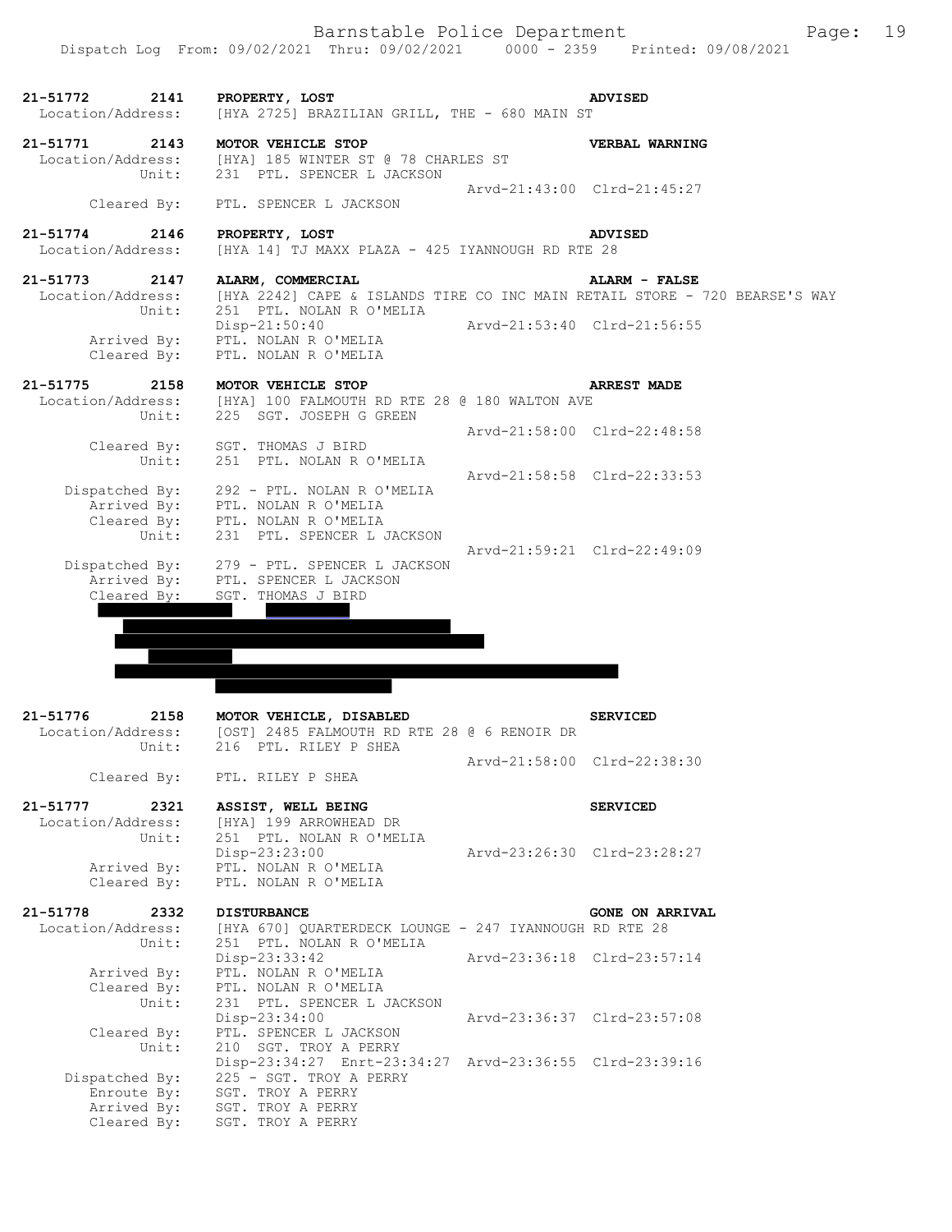|                                                             | Barnstable Police Department                                                                                                                      |                             | Page: | 19 |
|-------------------------------------------------------------|---------------------------------------------------------------------------------------------------------------------------------------------------|-----------------------------|-------|----|
|                                                             | Dispatch Log From: 09/02/2021 Thru: 09/02/2021 0000 - 2359 Printed: 09/08/2021                                                                    |                             |       |    |
| 21-51772<br>2141<br>Location/Address:                       | PROPERTY, LOST<br>[HYA 2725] BRAZILIAN GRILL, THE - 680 MAIN ST                                                                                   | <b>ADVISED</b>              |       |    |
| 21-51771<br>2143<br>Unit:                                   | MOTOR VEHICLE STOP<br>Location/Address: [HYA] 185 WINTER ST @ 78 CHARLES ST<br>231 PTL. SPENCER L JACKSON                                         | VERBAL WARNING              |       |    |
| Cleared By:                                                 | PTL. SPENCER L JACKSON                                                                                                                            | Arvd-21:43:00 Clrd-21:45:27 |       |    |
| 21-51774<br>2146<br>Location/Address:                       | PROPERTY, LOST<br>[HYA 14] TJ MAXX PLAZA - 425 IYANNOUGH RD RTE 28                                                                                | <b>ADVISED</b>              |       |    |
| 21-51773<br>2147<br>Location/Address:<br>Unit:              | ALARM, COMMERCIAL<br>[HYA 2242] CAPE & ISLANDS TIRE CO INC MAIN RETAIL STORE - 720 BEARSE'S WAY<br>251 PTL. NOLAN R O'MELIA                       | ALARM - FALSE               |       |    |
| Cleared By:                                                 | Disp-21:50:40<br>Arrived By: PTL. NOLAN R O'MELIA<br>PTL. NOLAN R O'MELIA                                                                         | Arvd-21:53:40 Clrd-21:56:55 |       |    |
| 21-51775<br>2158                                            | MOTOR VEHICLE STOP                                                                                                                                | <b>ARREST MADE</b>          |       |    |
| Unit:                                                       | Location/Address: [HYA] 100 FALMOUTH RD RTE 28 @ 180 WALTON AVE<br>225 SGT. JOSEPH G GREEN                                                        |                             |       |    |
| Unit:                                                       | Cleared By: SGT. THOMAS J BIRD<br>251 PTL. NOLAN R O'MELIA                                                                                        | Arvd-21:58:00 Clrd-22:48:58 |       |    |
|                                                             | Dispatched By: 292 - PTL. NOLAN R O'MELIA<br>Arrived By: PTL. NOLAN R O'MELIA<br>Cleared By: PTL. NOLAN R O'MELIA                                 | Arvd-21:58:58 Clrd-22:33:53 |       |    |
| Unit:                                                       | 231 PTL. SPENCER L JACKSON                                                                                                                        | Arvd-21:59:21 Clrd-22:49:09 |       |    |
| Cleared By:                                                 | Dispatched By: 279 - PTL. SPENCER L JACKSON<br>Arrived By: PTL. SPENCER L JACKSON<br>SGT. THOMAS J BIRD                                           |                             |       |    |
|                                                             |                                                                                                                                                   |                             |       |    |
| 2158<br>21-51776<br>Location/Address:<br>Unit:              | MOTOR VEHICLE, DISABLED<br>[OST] 2485 FALMOUTH RD RTE 28 @ 6 RENOIR DR<br>216 PTL. RILEY P SHEA                                                   | <b>SERVICED</b>             |       |    |
| Cleared By:                                                 | PTL. RILEY P SHEA                                                                                                                                 | Arvd-21:58:00 Clrd-22:38:30 |       |    |
| 21-51777<br>2321<br>Location/Address:<br>Unit:              | ASSIST, WELL BEING<br>[HYA] 199 ARROWHEAD DR<br>251 PTL. NOLAN R O'MELIA                                                                          | <b>SERVICED</b>             |       |    |
| Arrived By:<br>Cleared By:                                  | Disp-23:23:00<br>PTL. NOLAN R O'MELIA<br>PTL. NOLAN R O'MELIA                                                                                     | Arvd-23:26:30 Clrd-23:28:27 |       |    |
| 21-51778<br>2332<br>Location/Address:<br>Unit:              | <b>DISTURBANCE</b><br>[HYA 670] QUARTERDECK LOUNGE - 247 IYANNOUGH RD RTE 28<br>251 PTL. NOLAN R O'MELIA                                          | <b>GONE ON ARRIVAL</b>      |       |    |
| Arrived By:<br>Cleared By:<br>Unit:                         | Disp-23:33:42<br>PTL. NOLAN R O'MELIA<br>PTL. NOLAN R O'MELIA<br>231 PTL. SPENCER L JACKSON                                                       | Arvd-23:36:18 Clrd-23:57:14 |       |    |
| Cleared By:<br>Unit:                                        | $Disp-23:34:00$<br>PTL. SPENCER L JACKSON<br>210 SGT. TROY A PERRY                                                                                | Arvd-23:36:37 Clrd-23:57:08 |       |    |
| Dispatched By:<br>Enroute By:<br>Arrived By:<br>Cleared By: | Disp-23:34:27 Enrt-23:34:27 Arvd-23:36:55 Clrd-23:39:16<br>225 - SGT. TROY A PERRY<br>SGT. TROY A PERRY<br>SGT. TROY A PERRY<br>SGT. TROY A PERRY |                             |       |    |